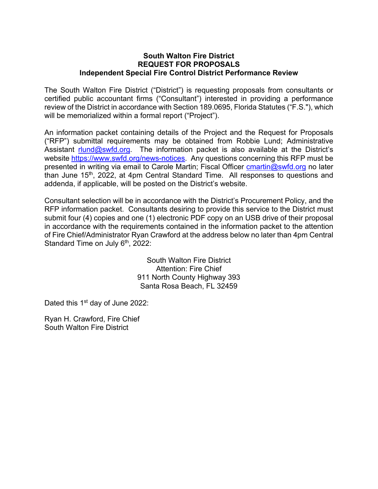#### **South Walton Fire District REQUEST FOR PROPOSALS Independent Special Fire Control District Performance Review**

The South Walton Fire District ("District") is requesting proposals from consultants or certified public accountant firms ("Consultant") interested in providing a performance review of the District in accordance with Section 189.0695, Florida Statutes ("F.S."), which will be memorialized within a formal report ("Project").

An information packet containing details of the Project and the Request for Proposals ("RFP") submittal requirements may be obtained from Robbie Lund; Administrative Assistant  $r$ lund@swfd.org. The information packet is also available at the District's website https://www.swfd.org/news-notices. Any questions concerning this RFP must be presented in writing via email to Carole Martin; Fiscal Officer cmartin@swfd.org no later than June 15<sup>th</sup>, 2022, at 4pm Central Standard Time. All responses to questions and addenda, if applicable, will be posted on the District's website.

Consultant selection will be in accordance with the District's Procurement Policy, and the RFP information packet. Consultants desiring to provide this service to the District must submit four (4) copies and one (1) electronic PDF copy on an USB drive of their proposal in accordance with the requirements contained in the information packet to the attention of Fire Chief/Administrator Ryan Crawford at the address below no later than 4pm Central Standard Time on July 6<sup>th</sup>, 2022:

> South Walton Fire District Attention: Fire Chief 911 North County Highway 393 Santa Rosa Beach, FL 32459

Dated this 1<sup>st</sup> day of June 2022:

Ryan H. Crawford, Fire Chief South Walton Fire District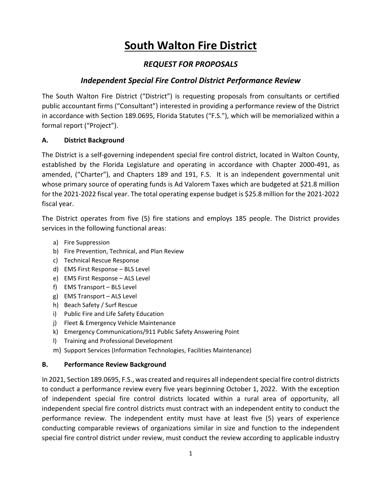# **South Walton Fire District**

# *REQUEST FOR PROPOSALS*

# *Independent Special Fire Control District Performance Review*

The South Walton Fire District ("District") is requesting proposals from consultants or certified public accountant firms ("Consultant") interested in providing a performance review of the District in accordance with Section 189.0695, Florida Statutes ("F.S."), which will be memorialized within a formal report ("Project").

# **A. District Background**

The District is a self‐governing independent special fire control district, located in Walton County, established by the Florida Legislature and operating in accordance with Chapter 2000‐491, as amended, ("Charter"), and Chapters 189 and 191, F.S. It is an independent governmental unit whose primary source of operating funds is Ad Valorem Taxes which are budgeted at \$21.8 million for the 2021‐2022 fiscal year. The total operating expense budget is \$25.8 million for the 2021‐2022 fiscal year.

The District operates from five (5) fire stations and employs 185 people. The District provides services in the following functional areas:

- a) Fire Suppression
- b) Fire Prevention, Technical, and Plan Review
- c) Technical Rescue Response
- d) EMS First Response BLS Level
- e) EMS First Response ALS Level
- f) EMS Transport BLS Level
- g) EMS Transport ALS Level
- h) Beach Safety / Surf Rescue
- i) Public Fire and Life Safety Education
- j) Fleet & Emergency Vehicle Maintenance
- k) Emergency Communications/911 Public Safety Answering Point
- l) Training and Professional Development
- m) Support Services (Information Technologies, Facilities Maintenance)

# **B. Performance Review Background**

In 2021, Section 189.0695, F.S., was created and requires all independent special fire control districts to conduct a performance review every five years beginning October 1, 2022. With the exception of independent special fire control districts located within a rural area of opportunity, all independent special fire control districts must contract with an independent entity to conduct the performance review. The independent entity must have at least five (5) years of experience conducting comparable reviews of organizations similar in size and function to the independent special fire control district under review, must conduct the review according to applicable industry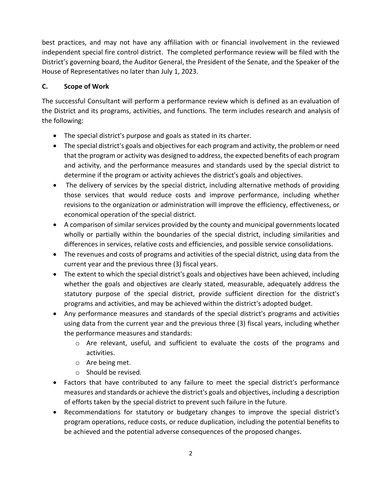best practices, and may not have any affiliation with or financial involvement in the reviewed independent special fire control district. The completed performance review will be filed with the District's governing board, the Auditor General, the President of the Senate, and the Speaker of the House of Representatives no later than July 1, 2023.

# **C. Scope of Work**

The successful Consultant will perform a performance review which is defined as an evaluation of the District and its programs, activities, and functions. The term includes research and analysis of the following:

- The special district's purpose and goals as stated in its charter.
- The special district's goals and objectives for each program and activity, the problem or need that the program or activity was designed to address, the expected benefits of each program and activity, and the performance measures and standards used by the special district to determine if the program or activity achieves the district's goals and objectives.
- The delivery of services by the special district, including alternative methods of providing those services that would reduce costs and improve performance, including whether revisions to the organization or administration will improve the efficiency, effectiveness, or economical operation of the special district.
- A comparison of similar services provided by the county and municipal governments located wholly or partially within the boundaries of the special district, including similarities and differences in services, relative costs and efficiencies, and possible service consolidations.
- The revenues and costs of programs and activities of the special district, using data from the current year and the previous three (3) fiscal years.
- The extent to which the special district's goals and objectives have been achieved, including whether the goals and objectives are clearly stated, measurable, adequately address the statutory purpose of the special district, provide sufficient direction for the district's programs and activities, and may be achieved within the district's adopted budget.
- Any performance measures and standards of the special district's programs and activities using data from the current year and the previous three (3) fiscal years, including whether the performance measures and standards:
	- o Are relevant, useful, and sufficient to evaluate the costs of the programs and activities.
	- o Are being met.
	- o Should be revised.
- Factors that have contributed to any failure to meet the special district's performance measures and standards or achieve the district's goals and objectives, including a description of efforts taken by the special district to prevent such failure in the future.
- Recommendations for statutory or budgetary changes to improve the special district's program operations, reduce costs, or reduce duplication, including the potential benefits to be achieved and the potential adverse consequences of the proposed changes.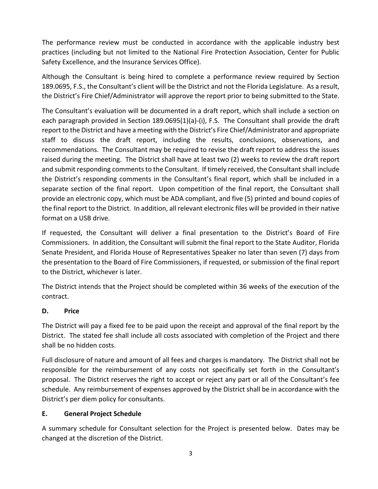The performance review must be conducted in accordance with the applicable industry best practices (including but not limited to the National Fire Protection Association, Center for Public Safety Excellence, and the Insurance Services Office).

Although the Consultant is being hired to complete a performance review required by Section 189.0695, F.S., the Consultant's client will be the District and not the Florida Legislature. As a result, the District's Fire Chief/Administrator will approve the report prior to being submitted to the State.

The Consultant's evaluation will be documented in a draft report, which shall include a section on each paragraph provided in Section 189.0695(1)(a)-(i), F.S. The Consultant shall provide the draft report to the District and have a meeting with the District's Fire Chief/Administrator and appropriate staff to discuss the draft report, including the results, conclusions, observations, and recommendations. The Consultant may be required to revise the draft report to address the issues raised during the meeting. The District shall have at least two (2) weeks to review the draft report and submit responding comments to the Consultant. If timely received, the Consultant shall include the District's responding comments in the Consultant's final report, which shall be included in a separate section of the final report. Upon competition of the final report, the Consultant shall provide an electronic copy, which must be ADA compliant, and five (5) printed and bound copies of the final report to the District. In addition, all relevant electronic files will be provided in their native format on a USB drive.

If requested, the Consultant will deliver a final presentation to the District's Board of Fire Commissioners. In addition, the Consultant will submit the final report to the State Auditor, Florida Senate President, and Florida House of Representatives Speaker no later than seven (7) days from the presentation to the Board of Fire Commissioners, if requested, or submission of the final report to the District, whichever is later.

The District intends that the Project should be completed within 36 weeks of the execution of the contract.

# **D. Price**

The District will pay a fixed fee to be paid upon the receipt and approval of the final report by the District. The stated fee shall include all costs associated with completion of the Project and there shall be no hidden costs.

Full disclosure of nature and amount of all fees and charges is mandatory. The District shall not be responsible for the reimbursement of any costs not specifically set forth in the Consultant's proposal. The District reserves the right to accept or reject any part or all of the Consultant's fee schedule. Any reimbursement of expenses approved by the District shall be in accordance with the District's per diem policy for consultants.

# **E. General Project Schedule**

A summary schedule for Consultant selection for the Project is presented below. Dates may be changed at the discretion of the District.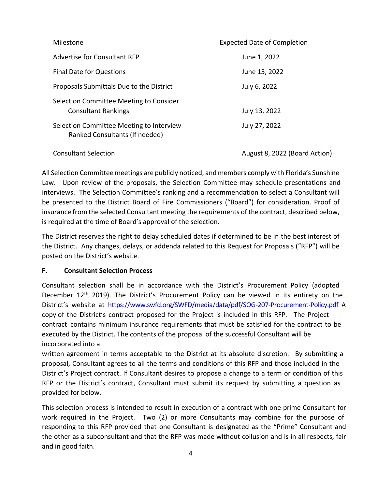| Milestone                                                                  | <b>Expected Date of Completion</b> |  |
|----------------------------------------------------------------------------|------------------------------------|--|
| Advertise for Consultant RFP                                               | June 1, 2022                       |  |
| <b>Final Date for Questions</b>                                            | June 15, 2022                      |  |
| Proposals Submittals Due to the District                                   | July 6, 2022                       |  |
| Selection Committee Meeting to Consider<br><b>Consultant Rankings</b>      | July 13, 2022                      |  |
| Selection Committee Meeting to Interview<br>Ranked Consultants (If needed) | July 27, 2022                      |  |
| <b>Consultant Selection</b>                                                | August 8, 2022 (Board Action)      |  |

All Selection Committee meetings are publicly noticed, and members comply with Florida's Sunshine Law. Upon review of the proposals, the Selection Committee may schedule presentations and interviews. The Selection Committee's ranking and a recommendation to select a Consultant will be presented to the District Board of Fire Commissioners ("Board") for consideration. Proof of insurance from the selected Consultant meeting the requirements of the contract, described below, is required at the time of Board's approval of the selection.

The District reserves the right to delay scheduled dates if determined to be in the best interest of the District. Any changes, delays, or addenda related to this Request for Proposals ("RFP") will be posted on the District's website.

# **F. Consultant Selection Process**

Consultant selection shall be in accordance with the District's Procurement Policy (adopted December 12<sup>th</sup> 2019). The District's Procurement Policy can be viewed in its entirety on the District's website at https://www.swfd.org/SWFD/media/data/pdf/SOG-207-Procurement-Policy.pdf A copy of the District's contract proposed for the Project is included in this RFP. The Project contract contains minimum insurance requirements that must be satisfied for the contract to be executed by the District. The contents of the proposal of the successful Consultant will be incorporated into a

written agreement in terms acceptable to the District at its absolute discretion. By submitting a proposal, Consultant agrees to all the terms and conditions of this RFP and those included in the District's Project contract. If Consultant desires to propose a change to a term or condition of this RFP or the District's contract, Consultant must submit its request by submitting a question as provided for below.

This selection process is intended to result in execution of a contract with one prime Consultant for work required in the Project. Two (2) or more Consultants may combine for the purpose of responding to this RFP provided that one Consultant is designated as the "Prime" Consultant and the other as a subconsultant and that the RFP was made without collusion and is in all respects, fair and in good faith.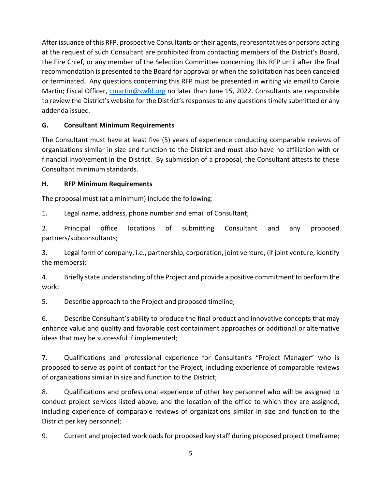After issuance of this RFP, prospective Consultants or their agents, representatives or persons acting at the request of such Consultant are prohibited from contacting members of the District's Board, the Fire Chief, or any member of the Selection Committee concerning this RFP until after the final recommendation is presented to the Board for approval or when the solicitation has been canceled or terminated. Any questions concerning this RFP must be presented in writing via email to Carole Martin; Fiscal Officer, *cmartin@swfd.org* no later than June 15, 2022. Consultants are responsible to review the District's website for the District's responses to any questions timely submitted or any addenda issued.

# **G. Consultant Minimum Requirements**

The Consultant must have at least five (5) years of experience conducting comparable reviews of organizations similar in size and function to the District and must also have no affiliation with or financial involvement in the District. By submission of a proposal, the Consultant attests to these Consultant minimum standards.

# **H. RFP Minimum Requirements**

The proposal must (at a minimum) include the following:

1. Legal name, address, phone number and email of Consultant;

2. Principal office locations of submitting Consultant and any proposed partners/subconsultants;

3. Legal form of company, i.e., partnership, corporation, joint venture, (if joint venture, identify the members);

4. Briefly state understanding of the Project and provide a positive commitment to perform the work;

5. Describe approach to the Project and proposed timeline;

6. Describe Consultant's ability to produce the final product and innovative concepts that may enhance value and quality and favorable cost containment approaches or additional or alternative ideas that may be successful if implemented;

7. Qualifications and professional experience for Consultant's "Project Manager" who is proposed to serve as point of contact for the Project, including experience of comparable reviews of organizations similar in size and function to the District;

8. Qualifications and professional experience of other key personnel who will be assigned to conduct project services listed above, and the location of the office to which they are assigned, including experience of comparable reviews of organizations similar in size and function to the District per key personnel;

9. Current and projected workloads for proposed key staff during proposed project timeframe;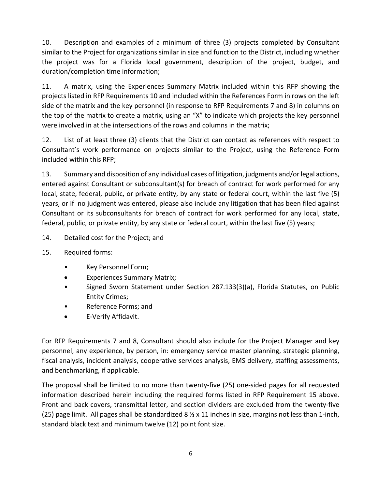10. Description and examples of a minimum of three (3) projects completed by Consultant similar to the Project for organizations similar in size and function to the District, including whether the project was for a Florida local government, description of the project, budget, and duration/completion time information;

11. A matrix, using the Experiences Summary Matrix included within this RFP showing the projects listed in RFP Requirements 10 and included within the References Form in rows on the left side of the matrix and the key personnel (in response to RFP Requirements 7 and 8) in columns on the top of the matrix to create a matrix, using an "X" to indicate which projects the key personnel were involved in at the intersections of the rows and columns in the matrix;

12. List of at least three (3) clients that the District can contact as references with respect to Consultant's work performance on projects similar to the Project, using the Reference Form included within this RFP;

13. Summary and disposition of any individual cases of litigation, judgments and/orlegal actions, entered against Consultant or subconsultant(s) for breach of contract for work performed for any local, state, federal, public, or private entity, by any state or federal court, within the last five (5) years, or if no judgment was entered, please also include any litigation that has been filed against Consultant or its subconsultants for breach of contract for work performed for any local, state, federal, public, or private entity, by any state or federal court, within the last five (5) years;

- 14. Detailed cost for the Project; and
- 15. Required forms:
	- Key Personnel Form;
	- Experiences Summary Matrix;
	- Signed Sworn Statement under Section 287.133(3)(a), Florida Statutes, on Public Entity Crimes;
	- Reference Forms; and
	- E‐Verify Affidavit.

For RFP Requirements 7 and 8, Consultant should also include for the Project Manager and key personnel, any experience, by person, in: emergency service master planning, strategic planning, fiscal analysis, incident analysis, cooperative services analysis, EMS delivery, staffing assessments, and benchmarking, if applicable.

The proposal shall be limited to no more than twenty‐five (25) one‐sided pages for all requested information described herein including the required forms listed in RFP Requirement 15 above. Front and back covers, transmittal letter, and section dividers are excluded from the twenty‐five (25) page limit. All pages shall be standardized 8  $\frac{1}{2}$  x 11 inches in size, margins not less than 1-inch, standard black text and minimum twelve (12) point font size.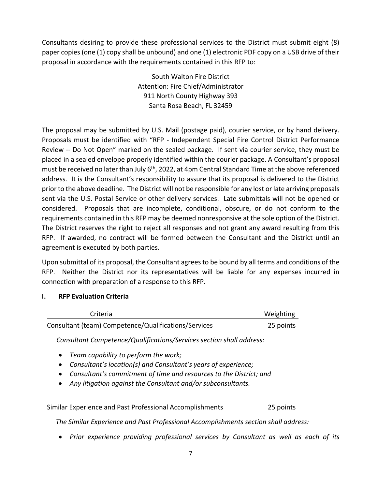Consultants desiring to provide these professional services to the District must submit eight (8) paper copies (one (1) copy shall be unbound) and one (1) electronic PDF copy on a USB drive of their proposal in accordance with the requirements contained in this RFP to:

> South Walton Fire District Attention: Fire Chief/Administrator 911 North County Highway 393 Santa Rosa Beach, FL 32459

The proposal may be submitted by U.S. Mail (postage paid), courier service, or by hand delivery. Proposals must be identified with "RFP ‐ Independent Special Fire Control District Performance Review -- Do Not Open" marked on the sealed package. If sent via courier service, they must be placed in a sealed envelope properly identified within the courier package. A Consultant's proposal must be received no later than July 6<sup>th</sup>, 2022, at 4pm Central Standard Time at the above referenced address. It is the Consultant's responsibility to assure that its proposal is delivered to the District prior to the above deadline. The District will not be responsible for any lost or late arriving proposals sent via the U.S. Postal Service or other delivery services. Late submittals will not be opened or considered. Proposals that are incomplete, conditional, obscure, or do not conform to the requirements contained in this RFP may be deemed nonresponsive at the sole option of the District. The District reserves the right to reject all responses and not grant any award resulting from this RFP. If awarded, no contract will be formed between the Consultant and the District until an agreement is executed by both parties.

Upon submittal of its proposal, the Consultant agreesto be bound by all terms and conditions of the RFP. Neither the District nor its representatives will be liable for any expenses incurred in connection with preparation of a response to this RFP.

# **I. RFP Evaluation Criteria**

| Criteria                                             | Weighting |
|------------------------------------------------------|-----------|
| Consultant (team) Competence/Qualifications/Services | 25 points |

*Consultant Competence/Qualifications/Services section shall address:*

- *Team capability to perform the work;*
- *Consultant's location(s) and Consultant's years of experience;*
- *Consultant's commitment of time and resources to the District; and*
- *Any litigation against the Consultant and/or subconsultants.*

Similar Experience and Past Professional Accomplishments 25 points

*The Similar Experience and Past Professional Accomplishments section shall address:*

*Prior experience providing professional services by Consultant as well as each of its*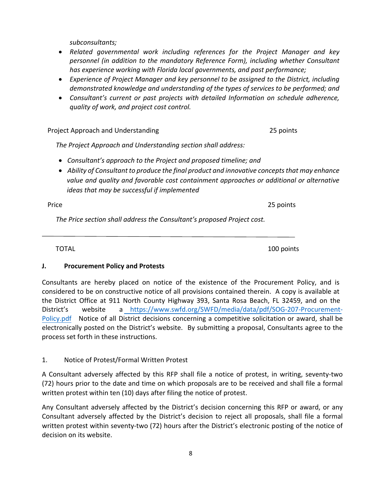*subconsultants;* 

- *Related governmental work including references for the Project Manager and key personnel (in addition to the mandatory Reference Form), including whether Consultant has experience working with Florida local governments, and past performance;*
- *Experience of Project Manager and key personnel to be assigned to the District, including demonstrated knowledge and understanding of the types of services to be performed; and*
- *Consultant's current or past projects with detailed Information on schedule adherence, quality of work, and project cost control.*

Project Approach and Understanding 25 points

*The Project Approach and Understanding section shall address:*

- *Consultant's approach to the Project and proposed timeline; and*
- *Ability of Consultant to produce the final product and innovative conceptsthat may enhance value and quality and favorable cost containment approaches or additional or alternative ideas that may be successful if implemented*

Price 25 points

*The Price section shall address the Consultant's proposed Project cost.* 

TOTAL 100 points and the set of the set of the set of the set of the set of the set of the set of the set of the set of the set of the set of the set of the set of the set of the set of the set of the set of the set of the

# **J. Procurement Policy and Protests**

Consultants are hereby placed on notice of the existence of the Procurement Policy, and is considered to be on constructive notice of all provisions contained therein. A copy is available at the District Office at 911 North County Highway 393, Santa Rosa Beach, FL 32459, and on the District's website a https://www.swfd.org/SWFD/media/data/pdf/SOG-207-Procurement-Policy.pdf Notice of all District decisions concerning a competitive solicitation or award, shall be electronically posted on the District's website. By submitting a proposal, Consultants agree to the process set forth in these instructions.

# 1. Notice of Protest/Formal Written Protest

A Consultant adversely affected by this RFP shall file a notice of protest, in writing, seventy‐two (72) hours prior to the date and time on which proposals are to be received and shall file a formal written protest within ten (10) days after filing the notice of protest.

Any Consultant adversely affected by the District's decision concerning this RFP or award, or any Consultant adversely affected by the District's decision to reject all proposals, shall file a formal written protest within seventy-two (72) hours after the District's electronic posting of the notice of decision on its website.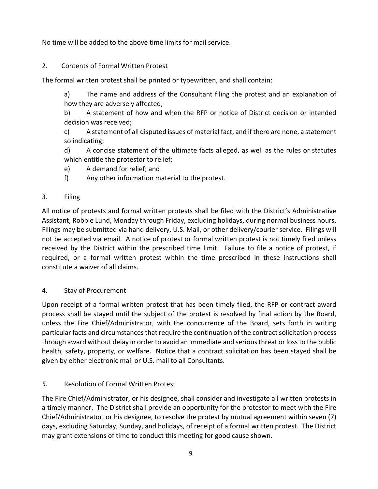No time will be added to the above time limits for mail service.

# 2. Contents of Formal Written Protest

The formal written protest shall be printed or typewritten, and shall contain:

a) The name and address of the Consultant filing the protest and an explanation of how they are adversely affected;

b) A statement of how and when the RFP or notice of District decision or intended decision was received;

c) A statement of all disputed issues of material fact, and if there are none, a statement so indicating;

d) A concise statement of the ultimate facts alleged, as well as the rules or statutes which entitle the protestor to relief;

- e) A demand for relief; and
- f) Any other information material to the protest.

# 3. Filing

All notice of protests and formal written protests shall be filed with the District's Administrative Assistant, Robbie Lund, Monday through Friday, excluding holidays, during normal business hours. Filings may be submitted via hand delivery, U.S. Mail, or other delivery/courier service. Filings will not be accepted via email. A notice of protest or formal written protest is not timely filed unless received by the District within the prescribed time limit. Failure to file a notice of protest, if required, or a formal written protest within the time prescribed in these instructions shall constitute a waiver of all claims.

4. Stay of Procurement

Upon receipt of a formal written protest that has been timely filed, the RFP or contract award process shall be stayed until the subject of the protest is resolved by final action by the Board, unless the Fire Chief/Administrator, with the concurrence of the Board, sets forth in writing particular facts and circumstances that require the continuation of the contract solicitation process through award without delay in order to avoid an immediate and seriousthreat or lossto the public health, safety, property, or welfare. Notice that a contract solicitation has been stayed shall be given by either electronic mail or U.S. mail to all Consultants.

# *5.* Resolution of Formal Written Protest

The Fire Chief/Administrator, or his designee, shall consider and investigate all written protests in a timely manner. The District shall provide an opportunity for the protestor to meet with the Fire Chief/Administrator, or his designee, to resolve the protest by mutual agreement within seven (7) days, excluding Saturday, Sunday, and holidays, of receipt of a formal written protest. The District may grant extensions of time to conduct this meeting for good cause shown.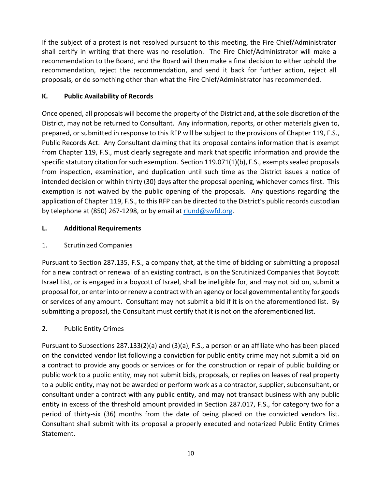If the subject of a protest is not resolved pursuant to this meeting, the Fire Chief/Administrator shall certify in writing that there was no resolution. The Fire Chief/Administrator will make a recommendation to the Board, and the Board will then make a final decision to either uphold the recommendation, reject the recommendation, and send it back for further action, reject all proposals, or do something other than what the Fire Chief/Administrator has recommended.

# **K. Public Availability of Records**

Once opened, all proposals will become the property of the District and, at the sole discretion of the District, may not be returned to Consultant. Any information, reports, or other materials given to, prepared, or submitted in response to this RFP will be subject to the provisions of Chapter 119, F.S., Public Records Act. Any Consultant claiming that its proposal contains information that is exempt from Chapter 119, F.S., must clearly segregate and mark that specific information and provide the specific statutory citation for such exemption. Section 119.071(1)(b), F.S., exempts sealed proposals from inspection, examination, and duplication until such time as the District issues a notice of intended decision or within thirty (30) days after the proposal opening, whichever comes first. This exemption is not waived by the public opening of the proposals. Any questions regarding the application of Chapter 119, F.S., to this RFP can be directed to the District's public records custodian by telephone at (850) 267-1298, or by email at rlund@swfd.org.

# **L. Additional Requirements**

# 1. Scrutinized Companies

Pursuant to Section 287.135, F.S., a company that, at the time of bidding or submitting a proposal for a new contract or renewal of an existing contract, is on the Scrutinized Companies that Boycott Israel List, or is engaged in a boycott of Israel, shall be ineligible for, and may not bid on, submit a proposal for, or enter into or renew a contract with an agency or local governmental entity for goods or services of any amount. Consultant may not submit a bid if it is on the aforementioned list. By submitting a proposal, the Consultant must certify that it is not on the aforementioned list.

# 2. Public Entity Crimes

Pursuant to Subsections 287.133(2)(a) and (3)(a), F.S., a person or an affiliate who has been placed on the convicted vendor list following a conviction for public entity crime may not submit a bid on a contract to provide any goods or services or for the construction or repair of public building or public work to a public entity, may not submit bids, proposals, or replies on leases of real property to a public entity, may not be awarded or perform work as a contractor, supplier, subconsultant, or consultant under a contract with any public entity, and may not transact business with any public entity in excess of the threshold amount provided in Section 287.017, F.S., for category two for a period of thirty-six (36) months from the date of being placed on the convicted vendors list. Consultant shall submit with its proposal a properly executed and notarized Public Entity Crimes Statement.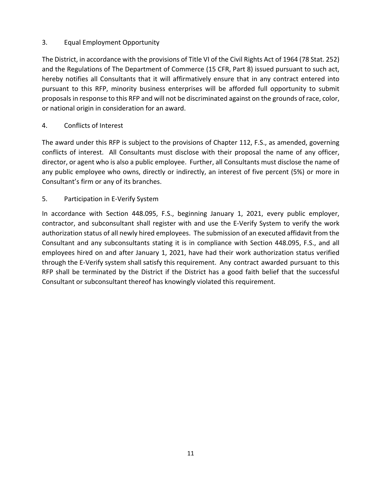# 3. Equal Employment Opportunity

The District, in accordance with the provisions of Title VI of the Civil Rights Act of 1964 (78 Stat. 252) and the Regulations of The Department of Commerce (15 CFR, Part 8) issued pursuant to such act, hereby notifies all Consultants that it will affirmatively ensure that in any contract entered into pursuant to this RFP, minority business enterprises will be afforded full opportunity to submit proposals in response to this RFP and will not be discriminated against on the grounds of race, color, or national origin in consideration for an award.

# 4. Conflicts of Interest

The award under this RFP is subject to the provisions of Chapter 112, F.S., as amended, governing conflicts of interest. All Consultants must disclose with their proposal the name of any officer, director, or agent who is also a public employee. Further, all Consultants must disclose the name of any public employee who owns, directly or indirectly, an interest of five percent (5%) or more in Consultant's firm or any of its branches.

# 5. Participation in E‐Verify System

In accordance with Section 448.095, F.S., beginning January 1, 2021, every public employer, contractor, and subconsultant shall register with and use the E‐Verify System to verify the work authorization status of all newly hired employees. The submission of an executed affidavit from the Consultant and any subconsultants stating it is in compliance with Section 448.095, F.S., and all employees hired on and after January 1, 2021, have had their work authorization status verified through the E‐Verify system shall satisfy this requirement. Any contract awarded pursuant to this RFP shall be terminated by the District if the District has a good faith belief that the successful Consultant or subconsultant thereof has knowingly violated this requirement.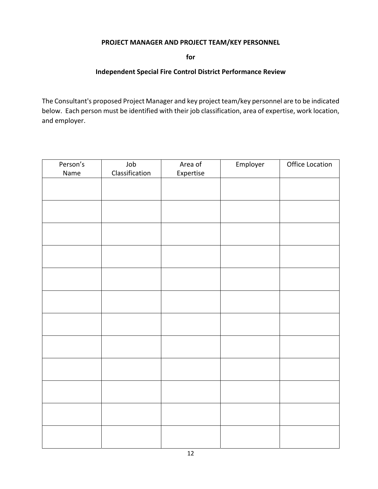# **PROJECT MANAGER AND PROJECT TEAM/KEY PERSONNEL**

**for**

#### **Independent Special Fire Control District Performance Review**

The Consultant's proposed Project Manager and key project team/key personnel are to be indicated below. Each person must be identified with their job classification, area of expertise, work location, and employer.

| Person's | Job            | Area of   | Employer | Office Location |
|----------|----------------|-----------|----------|-----------------|
| Name     | Classification | Expertise |          |                 |
|          |                |           |          |                 |
|          |                |           |          |                 |
|          |                |           |          |                 |
|          |                |           |          |                 |
|          |                |           |          |                 |
|          |                |           |          |                 |
|          |                |           |          |                 |
|          |                |           |          |                 |
|          |                |           |          |                 |
|          |                |           |          |                 |
|          |                |           |          |                 |
|          |                |           |          |                 |
|          |                |           |          |                 |
|          |                |           |          |                 |
|          |                |           |          |                 |
|          |                |           |          |                 |
|          |                |           |          |                 |
|          |                |           |          |                 |
|          |                |           |          |                 |
|          |                |           |          |                 |
|          |                |           |          |                 |
|          |                |           |          |                 |
|          |                |           |          |                 |
|          |                |           |          |                 |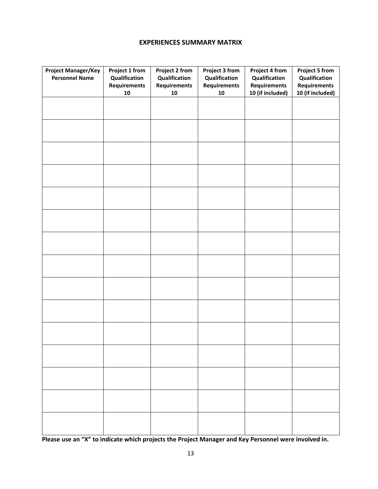# **EXPERIENCES SUMMARY MATRIX**

| <b>Project Manager/Key</b><br><b>Personnel Name</b> | Project 1 from<br>Qualification<br><b>Requirements</b><br>${\bf 10}$ | Project 2 from<br>Qualification<br><b>Requirements</b><br>${\bf 10}$ | Project 3 from<br>Qualification<br><b>Requirements</b><br>${\bf 10}$ | Project 4 from<br>Qualification<br><b>Requirements</b><br>10 (if included) | <b>Project 5 from</b><br>Qualification<br><b>Requirements</b><br>10 (if included) |
|-----------------------------------------------------|----------------------------------------------------------------------|----------------------------------------------------------------------|----------------------------------------------------------------------|----------------------------------------------------------------------------|-----------------------------------------------------------------------------------|
|                                                     |                                                                      |                                                                      |                                                                      |                                                                            |                                                                                   |
|                                                     |                                                                      |                                                                      |                                                                      |                                                                            |                                                                                   |
|                                                     |                                                                      |                                                                      |                                                                      |                                                                            |                                                                                   |
|                                                     |                                                                      |                                                                      |                                                                      |                                                                            |                                                                                   |
|                                                     |                                                                      |                                                                      |                                                                      |                                                                            |                                                                                   |
|                                                     |                                                                      |                                                                      |                                                                      |                                                                            |                                                                                   |
|                                                     |                                                                      |                                                                      |                                                                      |                                                                            |                                                                                   |
|                                                     |                                                                      |                                                                      |                                                                      |                                                                            |                                                                                   |
|                                                     |                                                                      |                                                                      |                                                                      |                                                                            |                                                                                   |
|                                                     |                                                                      |                                                                      |                                                                      |                                                                            |                                                                                   |
|                                                     |                                                                      |                                                                      |                                                                      |                                                                            |                                                                                   |
|                                                     |                                                                      |                                                                      |                                                                      |                                                                            |                                                                                   |
|                                                     |                                                                      |                                                                      |                                                                      |                                                                            |                                                                                   |
|                                                     |                                                                      |                                                                      |                                                                      |                                                                            |                                                                                   |
|                                                     |                                                                      |                                                                      |                                                                      |                                                                            |                                                                                   |

Please use an "X" to indicate which projects the Project Manager and Key Personnel were involved in.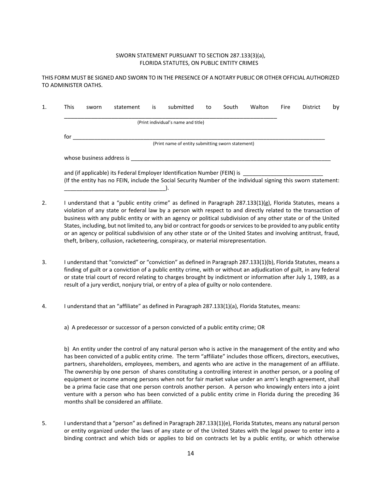#### SWORN STATEMENT PURSUANT TO SECTION 287.133(3)(a), FLORIDA STATUTES, ON PUBLIC ENTITY CRIMES

THIS FORM MUST BE SIGNED AND SWORN TO IN THE PRESENCE OF A NOTARY PUBLIC OR OTHER OFFICIAL AUTHORIZED TO ADMINISTER OATHS.

| <b>This</b>                                       | sworn | statement                                                                | is | submitted                           | to | South | Walton | Fire | District | by |
|---------------------------------------------------|-------|--------------------------------------------------------------------------|----|-------------------------------------|----|-------|--------|------|----------|----|
|                                                   |       |                                                                          |    | (Print individual's name and title) |    |       |        |      |          |    |
| for                                               |       |                                                                          |    |                                     |    |       |        |      |          |    |
| (Print name of entity submitting sworn statement) |       |                                                                          |    |                                     |    |       |        |      |          |    |
| whose business address is                         |       |                                                                          |    |                                     |    |       |        |      |          |    |
|                                                   |       | and (if applicable) its Federal Employer Identification Number (FEIN) is |    |                                     |    |       |        |      |          |    |

2. I understand that a "public entity crime" as defined in Paragraph 287.133(1)(g), Florida Statutes, means a violation of any state or federal law by a person with respect to and directly related to the transaction of business with any public entity or with an agency or political subdivision of any other state or of the United States, including, but not limited to, any bid or contract for goods or services to be provided to any public entity or an agency or political subdivision of any other state or of the United States and involving antitrust, fraud, theft, bribery, collusion, racketeering, conspiracy, or material misrepresentation.

(If the entity has no FEIN, include the Social Security Number of the individual signing this sworn statement:

- 3. I understand that "convicted" or "conviction" as defined in Paragraph 287.133(1)(b), Florida Statutes, means a finding of guilt or a conviction of a public entity crime, with or without an adjudication of guilt, in any federal or state trial court of record relating to charges brought by indictment or information after July 1, 1989, as a result of a jury verdict, nonjury trial, or entry of a plea of guilty or nolo contendere.
- 4. I understand that an "affiliate" as defined in Paragraph 287.133(1)(a), Florida Statutes, means:
	- a) A predecessor or successor of a person convicted of a public entity crime; OR

\_\_\_\_\_\_\_\_\_\_\_\_\_\_\_\_\_\_\_\_\_\_\_\_\_\_\_\_\_\_\_\_\_).

b) An entity under the control of any natural person who is active in the management of the entity and who has been convicted of a public entity crime. The term "affiliate" includes those officers, directors, executives, partners, shareholders, employees, members, and agents who are active in the management of an affiliate. The ownership by one person of shares constituting a controlling interest in another person, or a pooling of equipment or income among persons when not for fair market value under an arm's length agreement, shall be a prima facie case that one person controls another person. A person who knowingly enters into a joint venture with a person who has been convicted of a public entity crime in Florida during the preceding 36 months shall be considered an affiliate.

5. I understand that a "person" as defined in Paragraph 287.133(1)(e), Florida Statutes, means any natural person or entity organized under the laws of any state or of the United States with the legal power to enter into a binding contract and which bids or applies to bid on contracts let by a public entity, or which otherwise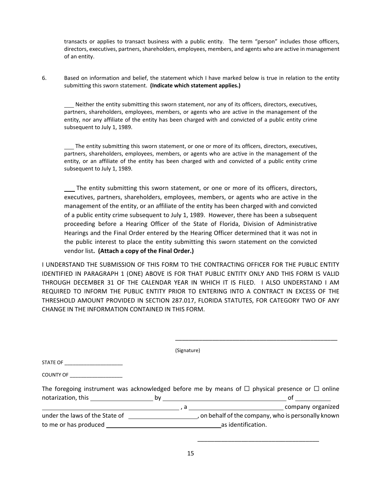transacts or applies to transact business with a public entity. The term "person" includes those officers, directors, executives, partners, shareholders, employees, members, and agents who are active in management of an entity.

6. Based on information and belief, the statement which I have marked below is true in relation to the entity submitting this sworn statement. **(Indicate which statement applies.)**

 Neither the entity submitting this sworn statement, nor any of its officers, directors, executives, partners, shareholders, employees, members, or agents who are active in the management of the entity, nor any affiliate of the entity has been charged with and convicted of a public entity crime subsequent to July 1, 1989.

 The entity submitting this sworn statement, or one or more of its officers, directors, executives, partners, shareholders, employees, members, or agents who are active in the management of the entity, or an affiliate of the entity has been charged with and convicted of a public entity crime subsequent to July 1, 1989.

 The entity submitting this sworn statement, or one or more of its officers, directors, executives, partners, shareholders, employees, members, or agents who are active in the management of the entity, or an affiliate of the entity has been charged with and convicted of a public entity crime subsequent to July 1, 1989. However, there has been a subsequent proceeding before a Hearing Officer of the State of Florida, Division of Administrative Hearings and the Final Order entered by the Hearing Officer determined that it was not in the public interest to place the entity submitting this sworn statement on the convicted vendor list**. (Attach a copy of the Final Order.)**

I UNDERSTAND THE SUBMISSION OF THIS FORM TO THE CONTRACTING OFFICER FOR THE PUBLIC ENTITY IDENTIFIED IN PARAGRAPH 1 (ONE) ABOVE IS FOR THAT PUBLIC ENTITY ONLY AND THIS FORM IS VALID THROUGH DECEMBER 31 OF THE CALENDAR YEAR IN WHICH IT IS FILED. I ALSO UNDERSTAND I AM REQUIRED TO INFORM THE PUBLIC ENTITY PRIOR TO ENTERING INTO A CONTRACT IN EXCESS OF THE THRESHOLD AMOUNT PROVIDED IN SECTION 287.017, FLORIDA STATUTES, FOR CATEGORY TWO OF ANY CHANGE IN THE INFORMATION CONTAINED IN THIS FORM.

\_\_\_\_\_\_\_\_\_\_\_\_\_\_\_\_\_\_\_\_\_\_\_\_\_\_\_\_\_\_\_\_\_\_\_\_\_\_\_\_\_\_\_\_\_\_\_\_

|                                                                                                                 | (Signature)        |                                                                                                           |  |  |
|-----------------------------------------------------------------------------------------------------------------|--------------------|-----------------------------------------------------------------------------------------------------------|--|--|
| STATE OF THE STATE OF THE STATE OF                                                                              |                    |                                                                                                           |  |  |
| <b>COUNTY OF</b>                                                                                                |                    |                                                                                                           |  |  |
|                                                                                                                 |                    | The foregoing instrument was acknowledged before me by means of $\Box$ physical presence or $\Box$ online |  |  |
| notarization, this by the by the by the box of the box of the box of the box of the box of the box of the box o |                    | 0f                                                                                                        |  |  |
|                                                                                                                 |                    | a company organized                                                                                       |  |  |
| under the laws of the State of                                                                                  |                    | , on behalf of the company, who is personally known                                                       |  |  |
| to me or has produced                                                                                           | as identification. |                                                                                                           |  |  |

15

 $\overline{\phantom{a}}$  , and the contract of the contract of the contract of the contract of the contract of the contract of the contract of the contract of the contract of the contract of the contract of the contract of the contrac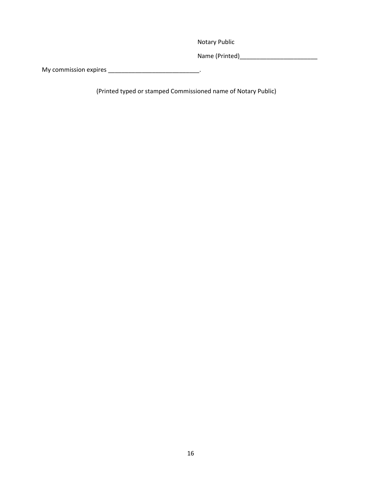Notary Public

Name (Printed)\_\_\_\_\_\_\_\_\_\_\_\_\_\_\_\_\_\_\_\_\_\_\_

My commission expires \_\_\_\_\_\_\_\_\_\_\_\_\_\_\_\_\_\_\_\_\_\_\_\_\_\_\_\_\_\_\_\_\_\_.

(Printed typed or stamped Commissioned name of Notary Public)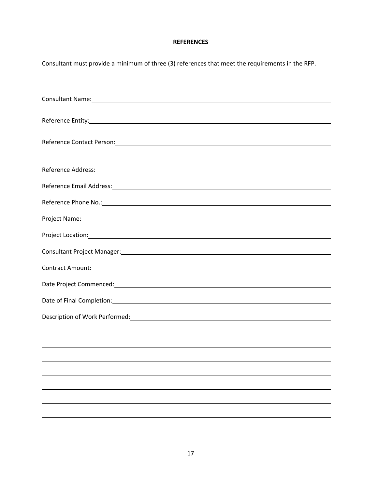# **REFERENCES**

| Consultant must provide a minimum of three (3) references that meet the requirements in the RFP.                                                                                                                               |
|--------------------------------------------------------------------------------------------------------------------------------------------------------------------------------------------------------------------------------|
|                                                                                                                                                                                                                                |
| Consultant Name: experience and a series of the series of the series of the series of the series of the series of the series of the series of the series of the series of the series of the series of the series of the series |
|                                                                                                                                                                                                                                |
|                                                                                                                                                                                                                                |
|                                                                                                                                                                                                                                |
|                                                                                                                                                                                                                                |
|                                                                                                                                                                                                                                |
| Reference Email Address: Note and the Contract of the Contract of the Contract of the Contract of the Contract of the Contract of the Contract of the Contract of the Contract of the Contract of the Contract of the Contract |
| Reference Phone No.: No. 2008 Committee Committee Committee Committee Committee Committee Committee Committee                                                                                                                  |
| Project Name: 1990 Contract Contract Contract Contract Contract Contract Contract Contract Contract Contract Contract Contract Contract Contract Contract Contract Contract Contract Contract Contract Contract Contract Contr |
|                                                                                                                                                                                                                                |
| Consultant Project Manager: National Consultant Project Manager: National Consultant Project Manager:                                                                                                                          |
|                                                                                                                                                                                                                                |
|                                                                                                                                                                                                                                |
|                                                                                                                                                                                                                                |
|                                                                                                                                                                                                                                |
|                                                                                                                                                                                                                                |
|                                                                                                                                                                                                                                |
|                                                                                                                                                                                                                                |
|                                                                                                                                                                                                                                |
|                                                                                                                                                                                                                                |
|                                                                                                                                                                                                                                |
|                                                                                                                                                                                                                                |
|                                                                                                                                                                                                                                |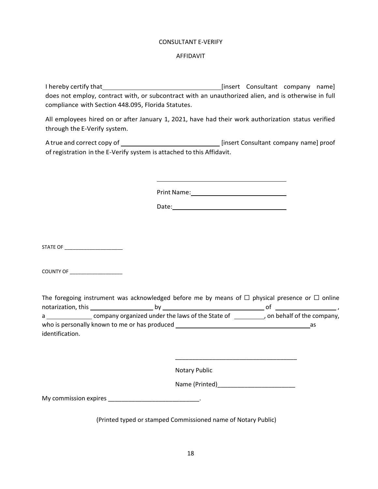#### CONSULTANT E‐VERIFY

#### AFFIDAVIT

I hereby certify that [insert Consultant company name] does not employ, contract with, or subcontract with an unauthorized alien, and is otherwise in full compliance with Section 448.095, Florida Statutes.

All employees hired on or after January 1, 2021, have had their work authorization status verified through the E‐Verify system.

A true and correct copy of [insert Consultant company name] proof of registration in the E‐Verify system is attached to this Affidavit.

Print Name:

STATE OF \_\_\_\_\_\_\_\_\_\_\_\_\_\_\_\_\_\_\_\_\_

COUNTY OF \_\_\_\_\_\_\_\_\_\_\_\_\_\_\_\_\_\_\_

|                    | The foregoing instrument was acknowledged before me by means of $\Box$ physical presence or $\Box$ online |                             |
|--------------------|-----------------------------------------------------------------------------------------------------------|-----------------------------|
| notarization, this | b٧                                                                                                        | 0t                          |
| a                  | company organized under the laws of the State of                                                          | , on behalf of the company, |
|                    | who is personally known to me or has produced                                                             | as                          |
| identification.    |                                                                                                           |                             |

Notary Public

Name (Printed)\_\_\_\_\_\_\_\_\_\_\_\_\_\_\_\_\_\_\_\_\_\_\_

\_\_\_\_\_\_\_\_\_\_\_\_\_\_\_\_\_\_\_\_\_\_\_\_\_\_\_\_\_\_\_\_\_\_\_\_

My commission expires \_\_\_\_\_\_\_\_\_\_\_\_\_\_\_\_\_\_\_\_\_\_\_\_\_\_\_\_\_\_\_\_\_.

(Printed typed or stamped Commissioned name of Notary Public)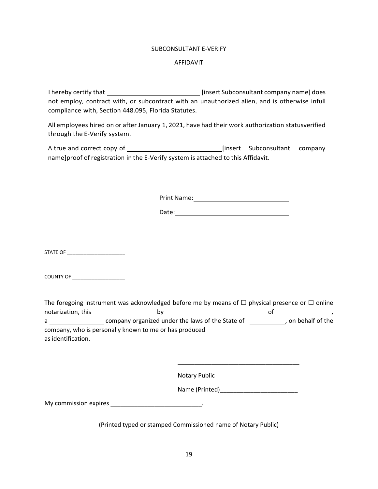#### SUBCONSULTANT E‐VERIFY

#### AFFIDAVIT

I hereby certify that [insert Subconsultant company name] does not employ, contract with, or subcontract with an unauthorized alien, and is otherwise infull compliance with, Section 448.095, Florida Statutes.

All employees hired on or after January 1, 2021, have had their work authorization statusverified through the E‐Verify system.

A true and correct copy of [insert Subconsultant company name]proof ofregistration in the E‐Verify system is attached to this Affidavit.

Print Name:

STATE OF \_\_\_\_\_\_\_\_\_\_\_\_\_\_\_\_\_\_\_\_\_

COUNTY OF

|                    | The foregoing instrument was acknowledged before me by means of $\Box$ physical presence or $\Box$ online |    |                    |
|--------------------|-----------------------------------------------------------------------------------------------------------|----|--------------------|
| notarization, this | bv                                                                                                        | O1 |                    |
| a                  | company organized under the laws of the State of                                                          |    | , on behalf of the |
|                    | company, who is personally known to me or has produced                                                    |    |                    |
| as identification. |                                                                                                           |    |                    |

 $\overline{\phantom{a}}$  , and the contract of the contract of the contract of the contract of the contract of the contract of the contract of the contract of the contract of the contract of the contract of the contract of the contrac

Notary Public

Name (Printed)\_\_\_\_\_\_\_\_\_\_\_\_\_\_\_\_\_\_\_\_\_\_\_

My commission expires \_\_\_\_\_\_\_\_\_\_\_\_\_\_\_\_\_\_\_\_\_\_\_\_\_\_\_\_\_\_\_\_.

(Printed typed or stamped Commissioned name of Notary Public)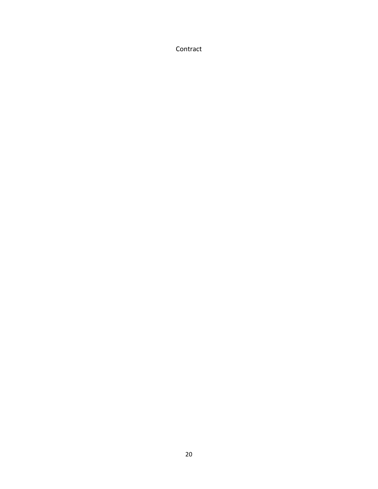Contract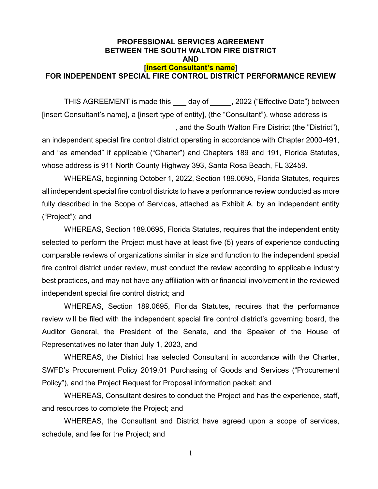# **PROFESSIONAL SERVICES AGREEMENT BETWEEN THE SOUTH WALTON FIRE DISTRICT AND [insert Consultant's name] FOR INDEPENDENT SPECIAL FIRE CONTROL DISTRICT PERFORMANCE REVIEW**

THIS AGREEMENT is made this \_\_\_\_ day of \_\_\_\_\_, 2022 ("Effective Date") between [insert Consultant's name], a [insert type of entity], (the "Consultant"), whose address is , and the South Walton Fire District (the "District"), an independent special fire control district operating in accordance with Chapter 2000-491, and "as amended" if applicable ("Charter") and Chapters 189 and 191, Florida Statutes, whose address is 911 North County Highway 393, Santa Rosa Beach, FL 32459.

WHEREAS, beginning October 1, 2022, Section 189.0695, Florida Statutes, requires all independent special fire control districts to have a performance review conducted as more fully described in the Scope of Services, attached as Exhibit A, by an independent entity ("Project"); and

WHEREAS, Section 189.0695, Florida Statutes, requires that the independent entity selected to perform the Project must have at least five (5) years of experience conducting comparable reviews of organizations similar in size and function to the independent special fire control district under review, must conduct the review according to applicable industry best practices, and may not have any affiliation with or financial involvement in the reviewed independent special fire control district; and

WHEREAS, Section 189.0695, Florida Statutes, requires that the performance review will be filed with the independent special fire control district's governing board, the Auditor General, the President of the Senate, and the Speaker of the House of Representatives no later than July 1, 2023, and

WHEREAS, the District has selected Consultant in accordance with the Charter, SWFD's Procurement Policy 2019.01 Purchasing of Goods and Services ("Procurement Policy"), and the Project Request for Proposal information packet; and

 WHEREAS, Consultant desires to conduct the Project and has the experience, staff, and resources to complete the Project; and

WHEREAS, the Consultant and District have agreed upon a scope of services, schedule, and fee for the Project; and

1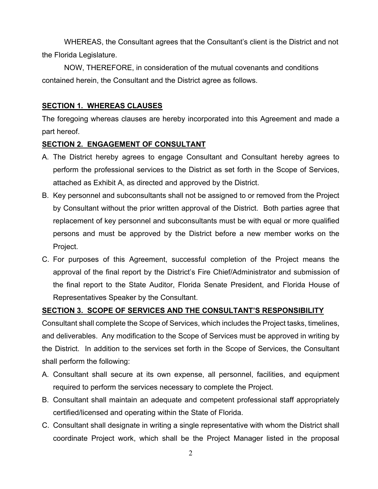WHEREAS, the Consultant agrees that the Consultant's client is the District and not the Florida Legislature.

NOW, THEREFORE, in consideration of the mutual covenants and conditions contained herein, the Consultant and the District agree as follows.

#### **SECTION 1. WHEREAS CLAUSES**

The foregoing whereas clauses are hereby incorporated into this Agreement and made a part hereof.

#### **SECTION 2. ENGAGEMENT OF CONSULTANT**

- A. The District hereby agrees to engage Consultant and Consultant hereby agrees to perform the professional services to the District as set forth in the Scope of Services, attached as Exhibit A, as directed and approved by the District.
- B. Key personnel and subconsultants shall not be assigned to or removed from the Project by Consultant without the prior written approval of the District. Both parties agree that replacement of key personnel and subconsultants must be with equal or more qualified persons and must be approved by the District before a new member works on the Project.
- C. For purposes of this Agreement, successful completion of the Project means the approval of the final report by the District's Fire Chief/Administrator and submission of the final report to the State Auditor, Florida Senate President, and Florida House of Representatives Speaker by the Consultant.

# **SECTION 3. SCOPE OF SERVICES AND THE CONSULTANT'S RESPONSIBILITY**

Consultant shall complete the Scope of Services, which includes the Project tasks, timelines, and deliverables. Any modification to the Scope of Services must be approved in writing by the District. In addition to the services set forth in the Scope of Services, the Consultant shall perform the following:

- A. Consultant shall secure at its own expense, all personnel, facilities, and equipment required to perform the services necessary to complete the Project.
- B. Consultant shall maintain an adequate and competent professional staff appropriately certified/licensed and operating within the State of Florida.
- C. Consultant shall designate in writing a single representative with whom the District shall coordinate Project work, which shall be the Project Manager listed in the proposal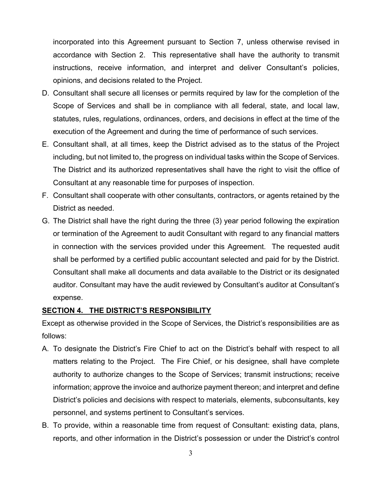incorporated into this Agreement pursuant to Section 7, unless otherwise revised in accordance with Section 2. This representative shall have the authority to transmit instructions, receive information, and interpret and deliver Consultant's policies, opinions, and decisions related to the Project.

- D. Consultant shall secure all licenses or permits required by law for the completion of the Scope of Services and shall be in compliance with all federal, state, and local law, statutes, rules, regulations, ordinances, orders, and decisions in effect at the time of the execution of the Agreement and during the time of performance of such services.
- E. Consultant shall, at all times, keep the District advised as to the status of the Project including, but not limited to, the progress on individual tasks within the Scope of Services. The District and its authorized representatives shall have the right to visit the office of Consultant at any reasonable time for purposes of inspection.
- F. Consultant shall cooperate with other consultants, contractors, or agents retained by the District as needed.
- G. The District shall have the right during the three (3) year period following the expiration or termination of the Agreement to audit Consultant with regard to any financial matters in connection with the services provided under this Agreement. The requested audit shall be performed by a certified public accountant selected and paid for by the District. Consultant shall make all documents and data available to the District or its designated auditor. Consultant may have the audit reviewed by Consultant's auditor at Consultant's expense.

# **SECTION 4. THE DISTRICT'S RESPONSIBILITY**

Except as otherwise provided in the Scope of Services, the District's responsibilities are as follows:

- A. To designate the District's Fire Chief to act on the District's behalf with respect to all matters relating to the Project. The Fire Chief, or his designee, shall have complete authority to authorize changes to the Scope of Services; transmit instructions; receive information; approve the invoice and authorize payment thereon; and interpret and define District's policies and decisions with respect to materials, elements, subconsultants, key personnel, and systems pertinent to Consultant's services.
- B. To provide, within a reasonable time from request of Consultant: existing data, plans, reports, and other information in the District's possession or under the District's control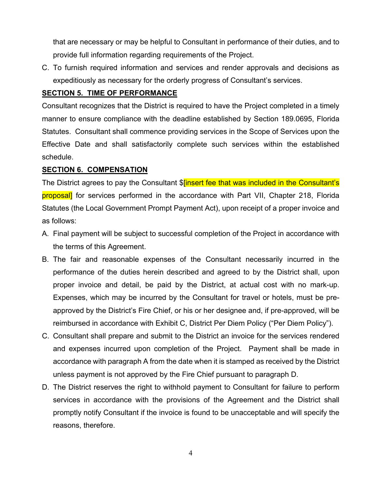that are necessary or may be helpful to Consultant in performance of their duties, and to provide full information regarding requirements of the Project.

C. To furnish required information and services and render approvals and decisions as expeditiously as necessary for the orderly progress of Consultant's services.

# **SECTION 5. TIME OF PERFORMANCE**

Consultant recognizes that the District is required to have the Project completed in a timely manner to ensure compliance with the deadline established by Section 189.0695, Florida Statutes. Consultant shall commence providing services in the Scope of Services upon the Effective Date and shall satisfactorily complete such services within the established schedule.

# **SECTION 6. COMPENSATION**

The District agrees to pay the Consultant \$<sup>[insert</sup> fee that was included in the Consultant's proposal] for services performed in the accordance with Part VII, Chapter 218, Florida Statutes (the Local Government Prompt Payment Act), upon receipt of a proper invoice and as follows:

- A. Final payment will be subject to successful completion of the Project in accordance with the terms of this Agreement.
- B. The fair and reasonable expenses of the Consultant necessarily incurred in the performance of the duties herein described and agreed to by the District shall, upon proper invoice and detail, be paid by the District, at actual cost with no mark-up. Expenses, which may be incurred by the Consultant for travel or hotels, must be preapproved by the District's Fire Chief, or his or her designee and, if pre-approved, will be reimbursed in accordance with Exhibit C, District Per Diem Policy ("Per Diem Policy").
- C. Consultant shall prepare and submit to the District an invoice for the services rendered and expenses incurred upon completion of the Project. Payment shall be made in accordance with paragraph A from the date when it is stamped as received by the District unless payment is not approved by the Fire Chief pursuant to paragraph D.
- D. The District reserves the right to withhold payment to Consultant for failure to perform services in accordance with the provisions of the Agreement and the District shall promptly notify Consultant if the invoice is found to be unacceptable and will specify the reasons, therefore.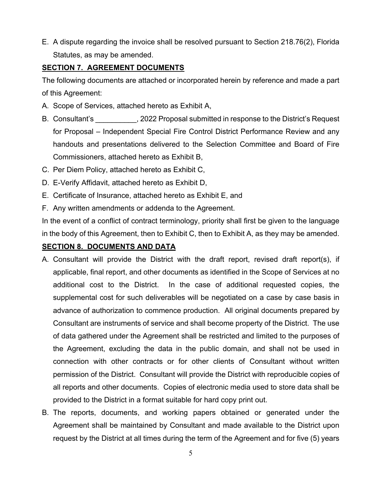E. A dispute regarding the invoice shall be resolved pursuant to Section 218.76(2), Florida Statutes, as may be amended.

# **SECTION 7. AGREEMENT DOCUMENTS**

The following documents are attached or incorporated herein by reference and made a part of this Agreement:

- A. Scope of Services, attached hereto as Exhibit A,
- B. Consultant's . 2022 Proposal submitted in response to the District's Request for Proposal – Independent Special Fire Control District Performance Review and any handouts and presentations delivered to the Selection Committee and Board of Fire Commissioners, attached hereto as Exhibit B,
- C. Per Diem Policy, attached hereto as Exhibit C,
- D. E-Verify Affidavit, attached hereto as Exhibit D,
- E. Certificate of Insurance, attached hereto as Exhibit E, and
- F. Any written amendments or addenda to the Agreement.

In the event of a conflict of contract terminology, priority shall first be given to the language in the body of this Agreement, then to Exhibit C, then to Exhibit A, as they may be amended.

# **SECTION 8. DOCUMENTS AND DATA**

- A. Consultant will provide the District with the draft report, revised draft report(s), if applicable, final report, and other documents as identified in the Scope of Services at no additional cost to the District. In the case of additional requested copies, the supplemental cost for such deliverables will be negotiated on a case by case basis in advance of authorization to commence production. All original documents prepared by Consultant are instruments of service and shall become property of the District. The use of data gathered under the Agreement shall be restricted and limited to the purposes of the Agreement, excluding the data in the public domain, and shall not be used in connection with other contracts or for other clients of Consultant without written permission of the District. Consultant will provide the District with reproducible copies of all reports and other documents. Copies of electronic media used to store data shall be provided to the District in a format suitable for hard copy print out.
- B. The reports, documents, and working papers obtained or generated under the Agreement shall be maintained by Consultant and made available to the District upon request by the District at all times during the term of the Agreement and for five (5) years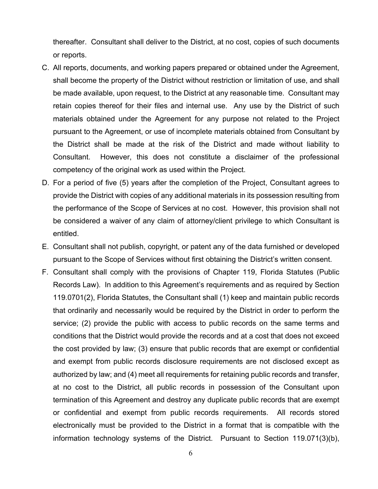thereafter. Consultant shall deliver to the District, at no cost, copies of such documents or reports.

- C. All reports, documents, and working papers prepared or obtained under the Agreement, shall become the property of the District without restriction or limitation of use, and shall be made available, upon request, to the District at any reasonable time. Consultant may retain copies thereof for their files and internal use. Any use by the District of such materials obtained under the Agreement for any purpose not related to the Project pursuant to the Agreement, or use of incomplete materials obtained from Consultant by the District shall be made at the risk of the District and made without liability to Consultant. However, this does not constitute a disclaimer of the professional competency of the original work as used within the Project.
- D. For a period of five (5) years after the completion of the Project, Consultant agrees to provide the District with copies of any additional materials in its possession resulting from the performance of the Scope of Services at no cost. However, this provision shall not be considered a waiver of any claim of attorney/client privilege to which Consultant is entitled.
- E. Consultant shall not publish, copyright, or patent any of the data furnished or developed pursuant to the Scope of Services without first obtaining the District's written consent.
- F. Consultant shall comply with the provisions of Chapter 119, Florida Statutes (Public Records Law). In addition to this Agreement's requirements and as required by Section 119.0701(2), Florida Statutes, the Consultant shall (1) keep and maintain public records that ordinarily and necessarily would be required by the District in order to perform the service; (2) provide the public with access to public records on the same terms and conditions that the District would provide the records and at a cost that does not exceed the cost provided by law; (3) ensure that public records that are exempt or confidential and exempt from public records disclosure requirements are not disclosed except as authorized by law; and (4) meet all requirements for retaining public records and transfer, at no cost to the District, all public records in possession of the Consultant upon termination of this Agreement and destroy any duplicate public records that are exempt or confidential and exempt from public records requirements. All records stored electronically must be provided to the District in a format that is compatible with the information technology systems of the District. Pursuant to Section 119.071(3)(b),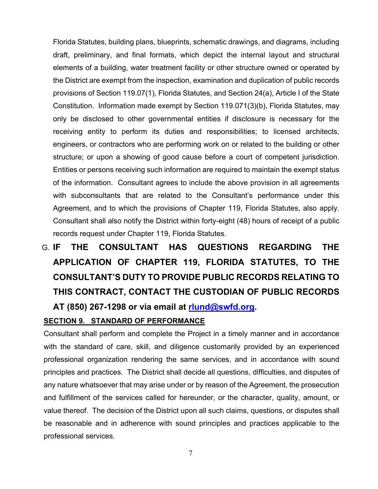Florida Statutes, building plans, blueprints, schematic drawings, and diagrams, including draft, preliminary, and final formats, which depict the internal layout and structural elements of a building, water treatment facility or other structure owned or operated by the District are exempt from the inspection, examination and duplication of public records provisions of Section 119.07(1), Florida Statutes, and Section 24(a), Article I of the State Constitution. Information made exempt by Section 119.071(3)(b), Florida Statutes, may only be disclosed to other governmental entities if disclosure is necessary for the receiving entity to perform its duties and responsibilities; to licensed architects, engineers, or contractors who are performing work on or related to the building or other structure; or upon a showing of good cause before a court of competent jurisdiction. Entities or persons receiving such information are required to maintain the exempt status of the information. Consultant agrees to include the above provision in all agreements with subconsultants that are related to the Consultant's performance under this Agreement, and to which the provisions of Chapter 119, Florida Statutes, also apply. Consultant shall also notify the District within forty-eight (48) hours of receipt of a public records request under Chapter 119, Florida Statutes.

# G. **IF THE CONSULTANT HAS QUESTIONS REGARDING THE APPLICATION OF CHAPTER 119, FLORIDA STATUTES, TO THE CONSULTANT'S DUTY TO PROVIDE PUBLIC RECORDS RELATING TO THIS CONTRACT, CONTACT THE CUSTODIAN OF PUBLIC RECORDS**

**AT (850) 267-1298 or via email at rlund@swfd.org.**

# **SECTION 9. STANDARD OF PERFORMANCE**

Consultant shall perform and complete the Project in a timely manner and in accordance with the standard of care, skill, and diligence customarily provided by an experienced professional organization rendering the same services, and in accordance with sound principles and practices. The District shall decide all questions, difficulties, and disputes of any nature whatsoever that may arise under or by reason of the Agreement, the prosecution and fulfillment of the services called for hereunder, or the character, quality, amount, or value thereof. The decision of the District upon all such claims, questions, or disputes shall be reasonable and in adherence with sound principles and practices applicable to the professional services.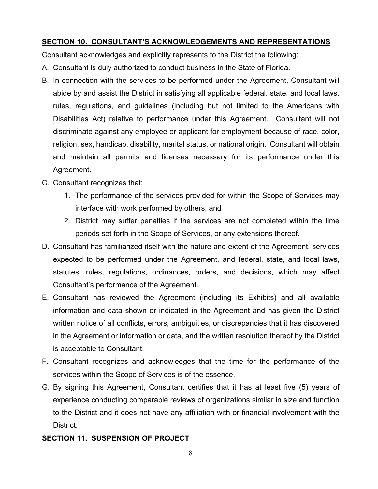# **SECTION 10. CONSULTANT'S ACKNOWLEDGEMENTS AND REPRESENTATIONS**

Consultant acknowledges and explicitly represents to the District the following:

- A. Consultant is duly authorized to conduct business in the State of Florida.
- B. In connection with the services to be performed under the Agreement, Consultant will abide by and assist the District in satisfying all applicable federal, state, and local laws, rules, regulations, and guidelines (including but not limited to the Americans with Disabilities Act) relative to performance under this Agreement. Consultant will not discriminate against any employee or applicant for employment because of race, color, religion, sex, handicap, disability, marital status, or national origin. Consultant will obtain and maintain all permits and licenses necessary for its performance under this Agreement.
- C. Consultant recognizes that:
	- 1. The performance of the services provided for within the Scope of Services may interface with work performed by others, and
	- 2. District may suffer penalties if the services are not completed within the time periods set forth in the Scope of Services, or any extensions thereof.
- D. Consultant has familiarized itself with the nature and extent of the Agreement, services expected to be performed under the Agreement, and federal, state, and local laws, statutes, rules, regulations, ordinances, orders, and decisions, which may affect Consultant's performance of the Agreement.
- E. Consultant has reviewed the Agreement (including its Exhibits) and all available information and data shown or indicated in the Agreement and has given the District written notice of all conflicts, errors, ambiguities, or discrepancies that it has discovered in the Agreement or information or data, and the written resolution thereof by the District is acceptable to Consultant.
- F. Consultant recognizes and acknowledges that the time for the performance of the services within the Scope of Services is of the essence.
- G. By signing this Agreement, Consultant certifies that it has at least five (5) years of experience conducting comparable reviews of organizations similar in size and function to the District and it does not have any affiliation with or financial involvement with the District.

# **SECTION 11. SUSPENSION OF PROJECT**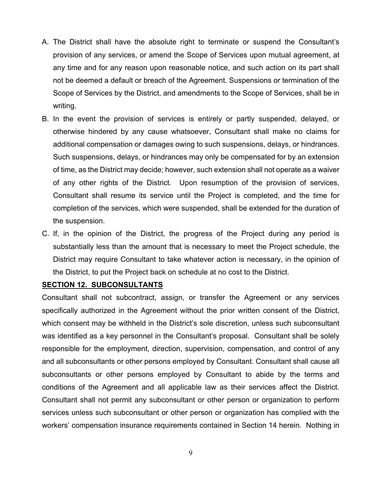- A. The District shall have the absolute right to terminate or suspend the Consultant's provision of any services, or amend the Scope of Services upon mutual agreement, at any time and for any reason upon reasonable notice, and such action on its part shall not be deemed a default or breach of the Agreement. Suspensions or termination of the Scope of Services by the District, and amendments to the Scope of Services, shall be in writing.
- B. In the event the provision of services is entirely or partly suspended, delayed, or otherwise hindered by any cause whatsoever, Consultant shall make no claims for additional compensation or damages owing to such suspensions, delays, or hindrances. Such suspensions, delays, or hindrances may only be compensated for by an extension of time, as the District may decide; however, such extension shall not operate as a waiver of any other rights of the District. Upon resumption of the provision of services, Consultant shall resume its service until the Project is completed, and the time for completion of the services, which were suspended, shall be extended for the duration of the suspension.
- C. If, in the opinion of the District, the progress of the Project during any period is substantially less than the amount that is necessary to meet the Project schedule, the District may require Consultant to take whatever action is necessary, in the opinion of the District, to put the Project back on schedule at no cost to the District.

#### **SECTION 12. SUBCONSULTANTS**

Consultant shall not subcontract, assign, or transfer the Agreement or any services specifically authorized in the Agreement without the prior written consent of the District, which consent may be withheld in the District's sole discretion, unless such subconsultant was identified as a key personnel in the Consultant's proposal. Consultant shall be solely responsible for the employment, direction, supervision, compensation, and control of any and all subconsultants or other persons employed by Consultant. Consultant shall cause all subconsultants or other persons employed by Consultant to abide by the terms and conditions of the Agreement and all applicable law as their services affect the District. Consultant shall not permit any subconsultant or other person or organization to perform services unless such subconsultant or other person or organization has complied with the workers' compensation insurance requirements contained in Section 14 herein. Nothing in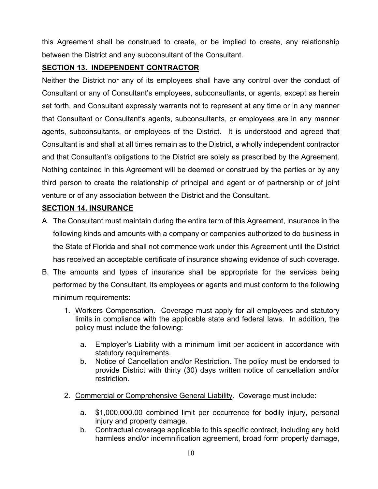this Agreement shall be construed to create, or be implied to create, any relationship between the District and any subconsultant of the Consultant.

# **SECTION 13. INDEPENDENT CONTRACTOR**

Neither the District nor any of its employees shall have any control over the conduct of Consultant or any of Consultant's employees, subconsultants, or agents, except as herein set forth, and Consultant expressly warrants not to represent at any time or in any manner that Consultant or Consultant's agents, subconsultants, or employees are in any manner agents, subconsultants, or employees of the District. It is understood and agreed that Consultant is and shall at all times remain as to the District, a wholly independent contractor and that Consultant's obligations to the District are solely as prescribed by the Agreement. Nothing contained in this Agreement will be deemed or construed by the parties or by any third person to create the relationship of principal and agent or of partnership or of joint venture or of any association between the District and the Consultant.

# **SECTION 14. INSURANCE**

- A. The Consultant must maintain during the entire term of this Agreement, insurance in the following kinds and amounts with a company or companies authorized to do business in the State of Florida and shall not commence work under this Agreement until the District has received an acceptable certificate of insurance showing evidence of such coverage.
- B. The amounts and types of insurance shall be appropriate for the services being performed by the Consultant, its employees or agents and must conform to the following minimum requirements:
	- 1. Workers Compensation. Coverage must apply for all employees and statutory limits in compliance with the applicable state and federal laws. In addition, the policy must include the following:
		- a. Employer's Liability with a minimum limit per accident in accordance with statutory requirements.
		- b. Notice of Cancellation and/or Restriction. The policy must be endorsed to provide District with thirty (30) days written notice of cancellation and/or restriction.
	- 2. Commercial or Comprehensive General Liability. Coverage must include:
		- a. \$1,000,000.00 combined limit per occurrence for bodily injury, personal injury and property damage.
		- b. Contractual coverage applicable to this specific contract, including any hold harmless and/or indemnification agreement, broad form property damage,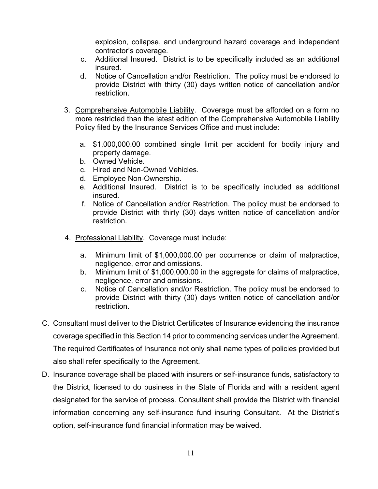explosion, collapse, and underground hazard coverage and independent contractor's coverage.

- c. Additional Insured. District is to be specifically included as an additional insured.
- d. Notice of Cancellation and/or Restriction. The policy must be endorsed to provide District with thirty (30) days written notice of cancellation and/or restriction.
- 3. Comprehensive Automobile Liability. Coverage must be afforded on a form no more restricted than the latest edition of the Comprehensive Automobile Liability Policy filed by the Insurance Services Office and must include:
	- a. \$1,000,000.00 combined single limit per accident for bodily injury and property damage.
	- b. Owned Vehicle.
	- c. Hired and Non-Owned Vehicles.
	- d. Employee Non-Ownership.
	- e. Additional Insured. District is to be specifically included as additional insured.
	- f. Notice of Cancellation and/or Restriction. The policy must be endorsed to provide District with thirty (30) days written notice of cancellation and/or restriction.
- 4. Professional Liability. Coverage must include:
	- a. Minimum limit of \$1,000,000.00 per occurrence or claim of malpractice, negligence, error and omissions.
	- b. Minimum limit of \$1,000,000.00 in the aggregate for claims of malpractice, negligence, error and omissions.
	- c. Notice of Cancellation and/or Restriction. The policy must be endorsed to provide District with thirty (30) days written notice of cancellation and/or restriction.
- C. Consultant must deliver to the District Certificates of Insurance evidencing the insurance coverage specified in this Section 14 prior to commencing services under the Agreement. The required Certificates of Insurance not only shall name types of policies provided but also shall refer specifically to the Agreement.
- D. Insurance coverage shall be placed with insurers or self-insurance funds, satisfactory to the District, licensed to do business in the State of Florida and with a resident agent designated for the service of process. Consultant shall provide the District with financial information concerning any self-insurance fund insuring Consultant. At the District's option, self-insurance fund financial information may be waived.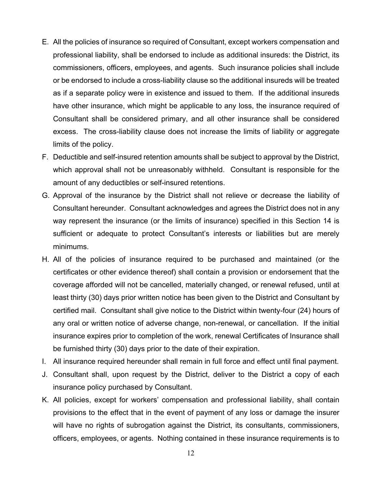- E. All the policies of insurance so required of Consultant, except workers compensation and professional liability, shall be endorsed to include as additional insureds: the District, its commissioners, officers, employees, and agents. Such insurance policies shall include or be endorsed to include a cross-liability clause so the additional insureds will be treated as if a separate policy were in existence and issued to them. If the additional insureds have other insurance, which might be applicable to any loss, the insurance required of Consultant shall be considered primary, and all other insurance shall be considered excess. The cross-liability clause does not increase the limits of liability or aggregate limits of the policy.
- F. Deductible and self-insured retention amounts shall be subject to approval by the District, which approval shall not be unreasonably withheld. Consultant is responsible for the amount of any deductibles or self-insured retentions.
- G. Approval of the insurance by the District shall not relieve or decrease the liability of Consultant hereunder. Consultant acknowledges and agrees the District does not in any way represent the insurance (or the limits of insurance) specified in this Section 14 is sufficient or adequate to protect Consultant's interests or liabilities but are merely minimums.
- H. All of the policies of insurance required to be purchased and maintained (or the certificates or other evidence thereof) shall contain a provision or endorsement that the coverage afforded will not be cancelled, materially changed, or renewal refused, until at least thirty (30) days prior written notice has been given to the District and Consultant by certified mail. Consultant shall give notice to the District within twenty-four (24) hours of any oral or written notice of adverse change, non-renewal, or cancellation. If the initial insurance expires prior to completion of the work, renewal Certificates of Insurance shall be furnished thirty (30) days prior to the date of their expiration.
- I. All insurance required hereunder shall remain in full force and effect until final payment.
- J. Consultant shall, upon request by the District, deliver to the District a copy of each insurance policy purchased by Consultant.
- K. All policies, except for workers' compensation and professional liability, shall contain provisions to the effect that in the event of payment of any loss or damage the insurer will have no rights of subrogation against the District, its consultants, commissioners, officers, employees, or agents. Nothing contained in these insurance requirements is to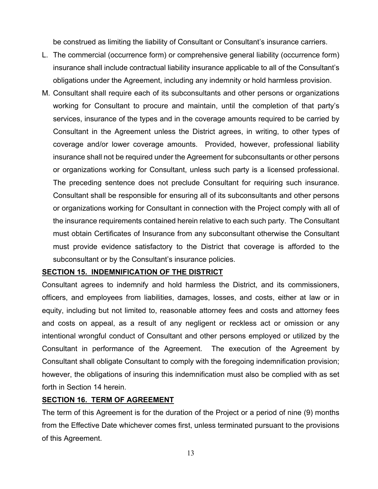be construed as limiting the liability of Consultant or Consultant's insurance carriers.

- L. The commercial (occurrence form) or comprehensive general liability (occurrence form) insurance shall include contractual liability insurance applicable to all of the Consultant's obligations under the Agreement, including any indemnity or hold harmless provision.
- M. Consultant shall require each of its subconsultants and other persons or organizations working for Consultant to procure and maintain, until the completion of that party's services, insurance of the types and in the coverage amounts required to be carried by Consultant in the Agreement unless the District agrees, in writing, to other types of coverage and/or lower coverage amounts. Provided, however, professional liability insurance shall not be required under the Agreement for subconsultants or other persons or organizations working for Consultant, unless such party is a licensed professional. The preceding sentence does not preclude Consultant for requiring such insurance. Consultant shall be responsible for ensuring all of its subconsultants and other persons or organizations working for Consultant in connection with the Project comply with all of the insurance requirements contained herein relative to each such party. The Consultant must obtain Certificates of Insurance from any subconsultant otherwise the Consultant must provide evidence satisfactory to the District that coverage is afforded to the subconsultant or by the Consultant's insurance policies.

# **SECTION 15. INDEMNIFICATION OF THE DISTRICT**

Consultant agrees to indemnify and hold harmless the District, and its commissioners, officers, and employees from liabilities, damages, losses, and costs, either at law or in equity, including but not limited to, reasonable attorney fees and costs and attorney fees and costs on appeal, as a result of any negligent or reckless act or omission or any intentional wrongful conduct of Consultant and other persons employed or utilized by the Consultant in performance of the Agreement. The execution of the Agreement by Consultant shall obligate Consultant to comply with the foregoing indemnification provision; however, the obligations of insuring this indemnification must also be complied with as set forth in Section 14 herein.

# **SECTION 16. TERM OF AGREEMENT**

The term of this Agreement is for the duration of the Project or a period of nine (9) months from the Effective Date whichever comes first, unless terminated pursuant to the provisions of this Agreement.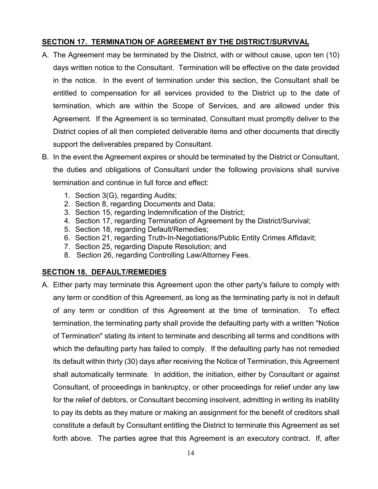# **SECTION 17. TERMINATION OF AGREEMENT BY THE DISTRICT/SURVIVAL**

- A. The Agreement may be terminated by the District, with or without cause, upon ten (10) days written notice to the Consultant. Termination will be effective on the date provided in the notice. In the event of termination under this section, the Consultant shall be entitled to compensation for all services provided to the District up to the date of termination, which are within the Scope of Services, and are allowed under this Agreement. If the Agreement is so terminated, Consultant must promptly deliver to the District copies of all then completed deliverable items and other documents that directly support the deliverables prepared by Consultant.
- B. In the event the Agreement expires or should be terminated by the District or Consultant, the duties and obligations of Consultant under the following provisions shall survive termination and continue in full force and effect:
	- 1. Section 3(G), regarding Audits;
	- 2. Section 8, regarding Documents and Data;
	- 3. Section 15, regarding Indemnification of the District;
	- 4. Section 17, regarding Termination of Agreement by the District/Survival;
	- 5. Section 18, regarding Default/Remedies;
	- 6. Section 21, regarding Truth-In-Negotiations/Public Entity Crimes Affidavit;
	- 7. Section 25, regarding Dispute Resolution; and
	- 8. Section 26, regarding Controlling Law/Attorney Fees.

# **SECTION 18. DEFAULT/REMEDIES**

A. Either party may terminate this Agreement upon the other party's failure to comply with any term or condition of this Agreement, as long as the terminating party is not in default of any term or condition of this Agreement at the time of termination. To effect termination, the terminating party shall provide the defaulting party with a written "Notice of Termination" stating its intent to terminate and describing all terms and conditions with which the defaulting party has failed to comply. If the defaulting party has not remedied its default within thirty (30) days after receiving the Notice of Termination, this Agreement shall automatically terminate. In addition, the initiation, either by Consultant or against Consultant, of proceedings in bankruptcy, or other proceedings for relief under any law for the relief of debtors, or Consultant becoming insolvent, admitting in writing its inability to pay its debts as they mature or making an assignment for the benefit of creditors shall constitute a default by Consultant entitling the District to terminate this Agreement as set forth above. The parties agree that this Agreement is an executory contract. If, after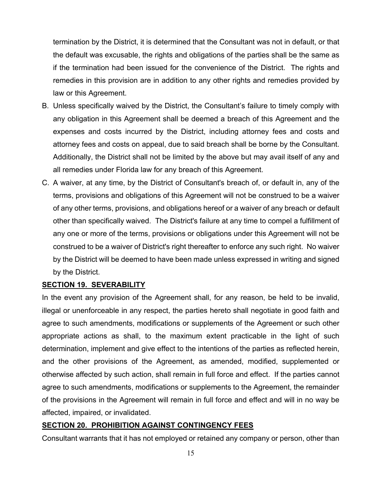termination by the District, it is determined that the Consultant was not in default, or that the default was excusable, the rights and obligations of the parties shall be the same as if the termination had been issued for the convenience of the District. The rights and remedies in this provision are in addition to any other rights and remedies provided by law or this Agreement.

- B. Unless specifically waived by the District, the Consultant's failure to timely comply with any obligation in this Agreement shall be deemed a breach of this Agreement and the expenses and costs incurred by the District, including attorney fees and costs and attorney fees and costs on appeal, due to said breach shall be borne by the Consultant. Additionally, the District shall not be limited by the above but may avail itself of any and all remedies under Florida law for any breach of this Agreement.
- C. A waiver, at any time, by the District of Consultant's breach of, or default in, any of the terms, provisions and obligations of this Agreement will not be construed to be a waiver of any other terms, provisions, and obligations hereof or a waiver of any breach or default other than specifically waived. The District's failure at any time to compel a fulfillment of any one or more of the terms, provisions or obligations under this Agreement will not be construed to be a waiver of District's right thereafter to enforce any such right. No waiver by the District will be deemed to have been made unless expressed in writing and signed by the District.

# **SECTION 19. SEVERABILITY**

In the event any provision of the Agreement shall, for any reason, be held to be invalid, illegal or unenforceable in any respect, the parties hereto shall negotiate in good faith and agree to such amendments, modifications or supplements of the Agreement or such other appropriate actions as shall, to the maximum extent practicable in the light of such determination, implement and give effect to the intentions of the parties as reflected herein, and the other provisions of the Agreement, as amended, modified, supplemented or otherwise affected by such action, shall remain in full force and effect. If the parties cannot agree to such amendments, modifications or supplements to the Agreement, the remainder of the provisions in the Agreement will remain in full force and effect and will in no way be affected, impaired, or invalidated.

# **SECTION 20. PROHIBITION AGAINST CONTINGENCY FEES**

Consultant warrants that it has not employed or retained any company or person, other than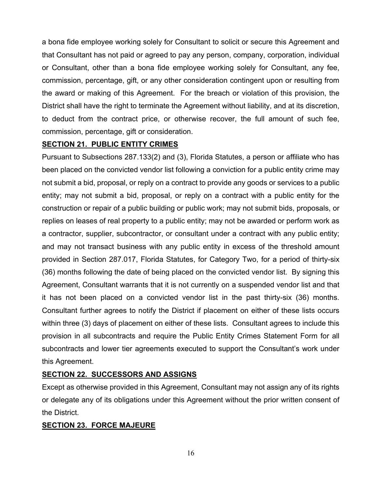a bona fide employee working solely for Consultant to solicit or secure this Agreement and that Consultant has not paid or agreed to pay any person, company, corporation, individual or Consultant, other than a bona fide employee working solely for Consultant, any fee, commission, percentage, gift, or any other consideration contingent upon or resulting from the award or making of this Agreement. For the breach or violation of this provision, the District shall have the right to terminate the Agreement without liability, and at its discretion, to deduct from the contract price, or otherwise recover, the full amount of such fee, commission, percentage, gift or consideration.

# **SECTION 21. PUBLIC ENTITY CRIMES**

Pursuant to Subsections 287.133(2) and (3), Florida Statutes, a person or affiliate who has been placed on the convicted vendor list following a conviction for a public entity crime may not submit a bid, proposal, or reply on a contract to provide any goods or services to a public entity; may not submit a bid, proposal, or reply on a contract with a public entity for the construction or repair of a public building or public work; may not submit bids, proposals, or replies on leases of real property to a public entity; may not be awarded or perform work as a contractor, supplier, subcontractor, or consultant under a contract with any public entity; and may not transact business with any public entity in excess of the threshold amount provided in Section 287.017, Florida Statutes, for Category Two, for a period of thirty-six (36) months following the date of being placed on the convicted vendor list. By signing this Agreement, Consultant warrants that it is not currently on a suspended vendor list and that it has not been placed on a convicted vendor list in the past thirty-six (36) months. Consultant further agrees to notify the District if placement on either of these lists occurs within three (3) days of placement on either of these lists. Consultant agrees to include this provision in all subcontracts and require the Public Entity Crimes Statement Form for all subcontracts and lower tier agreements executed to support the Consultant's work under this Agreement.

# **SECTION 22. SUCCESSORS AND ASSIGNS**

Except as otherwise provided in this Agreement, Consultant may not assign any of its rights or delegate any of its obligations under this Agreement without the prior written consent of the District.

# **SECTION 23. FORCE MAJEURE**

16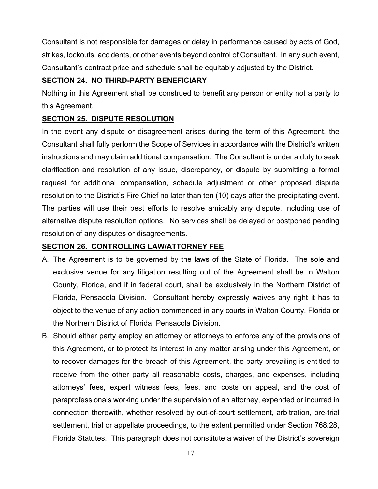Consultant is not responsible for damages or delay in performance caused by acts of God, strikes, lockouts, accidents, or other events beyond control of Consultant. In any such event, Consultant's contract price and schedule shall be equitably adjusted by the District.

# **SECTION 24. NO THIRD-PARTY BENEFICIARY**

Nothing in this Agreement shall be construed to benefit any person or entity not a party to this Agreement.

# **SECTION 25. DISPUTE RESOLUTION**

In the event any dispute or disagreement arises during the term of this Agreement, the Consultant shall fully perform the Scope of Services in accordance with the District's written instructions and may claim additional compensation. The Consultant is under a duty to seek clarification and resolution of any issue, discrepancy, or dispute by submitting a formal request for additional compensation, schedule adjustment or other proposed dispute resolution to the District's Fire Chief no later than ten (10) days after the precipitating event. The parties will use their best efforts to resolve amicably any dispute, including use of alternative dispute resolution options. No services shall be delayed or postponed pending resolution of any disputes or disagreements.

# **SECTION 26. CONTROLLING LAW/ATTORNEY FEE**

- A. The Agreement is to be governed by the laws of the State of Florida. The sole and exclusive venue for any litigation resulting out of the Agreement shall be in Walton County, Florida, and if in federal court, shall be exclusively in the Northern District of Florida, Pensacola Division. Consultant hereby expressly waives any right it has to object to the venue of any action commenced in any courts in Walton County, Florida or the Northern District of Florida, Pensacola Division.
- B. Should either party employ an attorney or attorneys to enforce any of the provisions of this Agreement, or to protect its interest in any matter arising under this Agreement, or to recover damages for the breach of this Agreement, the party prevailing is entitled to receive from the other party all reasonable costs, charges, and expenses, including attorneys' fees, expert witness fees, fees, and costs on appeal, and the cost of paraprofessionals working under the supervision of an attorney, expended or incurred in connection therewith, whether resolved by out-of-court settlement, arbitration, pre-trial settlement, trial or appellate proceedings, to the extent permitted under Section 768.28, Florida Statutes. This paragraph does not constitute a waiver of the District's sovereign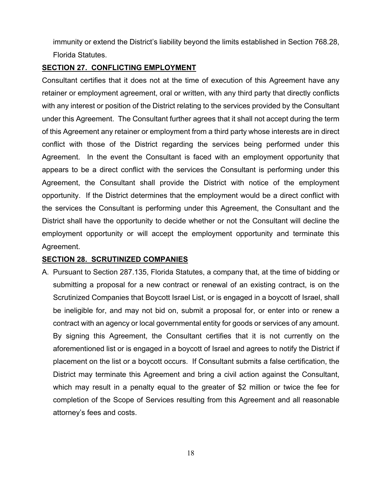immunity or extend the District's liability beyond the limits established in Section 768.28, Florida Statutes.

#### **SECTION 27. CONFLICTING EMPLOYMENT**

Consultant certifies that it does not at the time of execution of this Agreement have any retainer or employment agreement, oral or written, with any third party that directly conflicts with any interest or position of the District relating to the services provided by the Consultant under this Agreement. The Consultant further agrees that it shall not accept during the term of this Agreement any retainer or employment from a third party whose interests are in direct conflict with those of the District regarding the services being performed under this Agreement. In the event the Consultant is faced with an employment opportunity that appears to be a direct conflict with the services the Consultant is performing under this Agreement, the Consultant shall provide the District with notice of the employment opportunity. If the District determines that the employment would be a direct conflict with the services the Consultant is performing under this Agreement, the Consultant and the District shall have the opportunity to decide whether or not the Consultant will decline the employment opportunity or will accept the employment opportunity and terminate this Agreement.

# **SECTION 28. SCRUTINIZED COMPANIES**

A. Pursuant to Section 287.135, Florida Statutes, a company that, at the time of bidding or submitting a proposal for a new contract or renewal of an existing contract, is on the Scrutinized Companies that Boycott Israel List, or is engaged in a boycott of Israel, shall be ineligible for, and may not bid on, submit a proposal for, or enter into or renew a contract with an agency or local governmental entity for goods or services of any amount. By signing this Agreement, the Consultant certifies that it is not currently on the aforementioned list or is engaged in a boycott of Israel and agrees to notify the District if placement on the list or a boycott occurs. If Consultant submits a false certification, the District may terminate this Agreement and bring a civil action against the Consultant, which may result in a penalty equal to the greater of \$2 million or twice the fee for completion of the Scope of Services resulting from this Agreement and all reasonable attorney's fees and costs.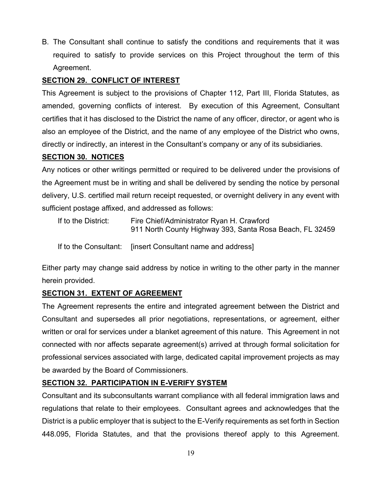B. The Consultant shall continue to satisfy the conditions and requirements that it was required to satisfy to provide services on this Project throughout the term of this Agreement.

# **SECTION 29. CONFLICT OF INTEREST**

This Agreement is subject to the provisions of Chapter 112, Part III, Florida Statutes, as amended, governing conflicts of interest. By execution of this Agreement, Consultant certifies that it has disclosed to the District the name of any officer, director, or agent who is also an employee of the District, and the name of any employee of the District who owns, directly or indirectly, an interest in the Consultant's company or any of its subsidiaries.

# **SECTION 30. NOTICES**

Any notices or other writings permitted or required to be delivered under the provisions of the Agreement must be in writing and shall be delivered by sending the notice by personal delivery, U.S. certified mail return receipt requested, or overnight delivery in any event with sufficient postage affixed, and addressed as follows:

| If to the District: | Fire Chief/Administrator Ryan H. Crawford<br>911 North County Highway 393, Santa Rosa Beach, FL 32459 |
|---------------------|-------------------------------------------------------------------------------------------------------|
|                     |                                                                                                       |

If to the Consultant: [insert Consultant name and address]

Either party may change said address by notice in writing to the other party in the manner herein provided.

# **SECTION 31. EXTENT OF AGREEMENT**

The Agreement represents the entire and integrated agreement between the District and Consultant and supersedes all prior negotiations, representations, or agreement, either written or oral for services under a blanket agreement of this nature. This Agreement in not connected with nor affects separate agreement(s) arrived at through formal solicitation for professional services associated with large, dedicated capital improvement projects as may be awarded by the Board of Commissioners.

# **SECTION 32. PARTICIPATION IN E-VERIFY SYSTEM**

Consultant and its subconsultants warrant compliance with all federal immigration laws and regulations that relate to their employees. Consultant agrees and acknowledges that the District is a public employer that is subject to the E-Verify requirements as set forth in Section 448.095, Florida Statutes, and that the provisions thereof apply to this Agreement.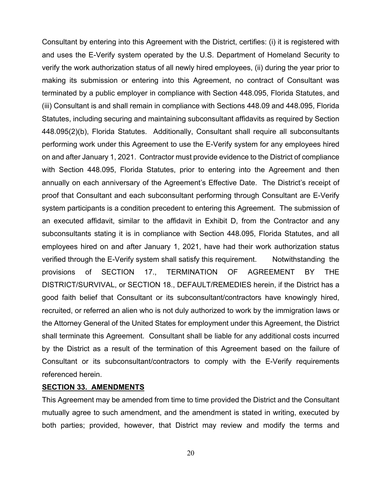Consultant by entering into this Agreement with the District, certifies: (i) it is registered with and uses the E-Verify system operated by the U.S. Department of Homeland Security to verify the work authorization status of all newly hired employees, (ii) during the year prior to making its submission or entering into this Agreement, no contract of Consultant was terminated by a public employer in compliance with Section 448.095, Florida Statutes, and (iii) Consultant is and shall remain in compliance with Sections 448.09 and 448.095, Florida Statutes, including securing and maintaining subconsultant affidavits as required by Section 448.095(2)(b), Florida Statutes. Additionally, Consultant shall require all subconsultants performing work under this Agreement to use the E-Verify system for any employees hired on and after January 1, 2021. Contractor must provide evidence to the District of compliance with Section 448.095, Florida Statutes, prior to entering into the Agreement and then annually on each anniversary of the Agreement's Effective Date. The District's receipt of proof that Consultant and each subconsultant performing through Consultant are E-Verify system participants is a condition precedent to entering this Agreement. The submission of an executed affidavit, similar to the affidavit in Exhibit D, from the Contractor and any subconsultants stating it is in compliance with Section 448.095, Florida Statutes, and all employees hired on and after January 1, 2021, have had their work authorization status verified through the E-Verify system shall satisfy this requirement. Notwithstanding the provisions of SECTION 17., TERMINATION OF AGREEMENT BY THE DISTRICT/SURVIVAL, or SECTION 18., DEFAULT/REMEDIES herein, if the District has a good faith belief that Consultant or its subconsultant/contractors have knowingly hired, recruited, or referred an alien who is not duly authorized to work by the immigration laws or the Attorney General of the United States for employment under this Agreement, the District shall terminate this Agreement. Consultant shall be liable for any additional costs incurred by the District as a result of the termination of this Agreement based on the failure of Consultant or its subconsultant/contractors to comply with the E-Verify requirements referenced herein.

#### **SECTION 33. AMENDMENTS**

This Agreement may be amended from time to time provided the District and the Consultant mutually agree to such amendment, and the amendment is stated in writing, executed by both parties; provided, however, that District may review and modify the terms and

20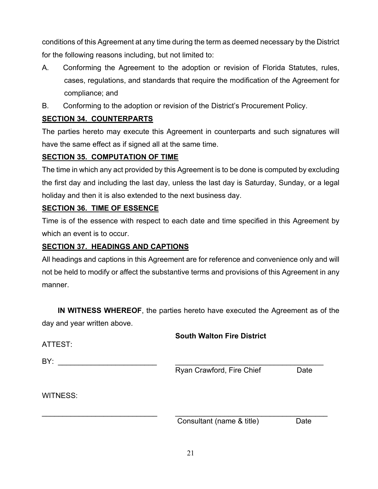conditions of this Agreement at any time during the term as deemed necessary by the District for the following reasons including, but not limited to:

- A. Conforming the Agreement to the adoption or revision of Florida Statutes, rules, cases, regulations, and standards that require the modification of the Agreement for compliance; and
- B. Conforming to the adoption or revision of the District's Procurement Policy.

# **SECTION 34. COUNTERPARTS**

The parties hereto may execute this Agreement in counterparts and such signatures will have the same effect as if signed all at the same time.

# **SECTION 35. COMPUTATION OF TIME**

The time in which any act provided by this Agreement is to be done is computed by excluding the first day and including the last day, unless the last day is Saturday, Sunday, or a legal holiday and then it is also extended to the next business day.

# **SECTION 36. TIME OF ESSENCE**

Time is of the essence with respect to each date and time specified in this Agreement by which an event is to occur.

# **SECTION 37. HEADINGS AND CAPTIONS**

All headings and captions in this Agreement are for reference and convenience only and will not be held to modify or affect the substantive terms and provisions of this Agreement in any manner.

 **IN WITNESS WHEREOF**, the parties hereto have executed the Agreement as of the day and year written above.

| ATTEST:         | <b>South Walton Fire District</b> |      |
|-----------------|-----------------------------------|------|
| BY:             | Ryan Crawford, Fire Chief         | Date |
| <b>WITNESS:</b> |                                   |      |

Consultant (name & title) Date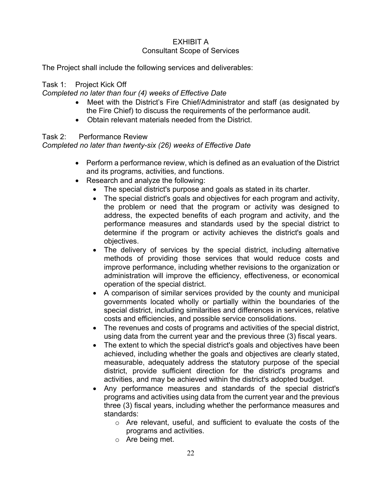# EXHIBIT A

# Consultant Scope of Services

The Project shall include the following services and deliverables:

# Task 1: Project Kick Off

# *Completed no later than four (4) weeks of Effective Date*

- Meet with the District's Fire Chief/Administrator and staff (as designated by the Fire Chief) to discuss the requirements of the performance audit.
- Obtain relevant materials needed from the District.

# Task 2: Performance Review

# *Completed no later than twenty-six (26) weeks of Effective Date*

- Perform a performance review, which is defined as an evaluation of the District and its programs, activities, and functions.
- Research and analyze the following:
	- The special district's purpose and goals as stated in its charter.
	- The special district's goals and objectives for each program and activity, the problem or need that the program or activity was designed to address, the expected benefits of each program and activity, and the performance measures and standards used by the special district to determine if the program or activity achieves the district's goals and objectives.
	- The delivery of services by the special district, including alternative methods of providing those services that would reduce costs and improve performance, including whether revisions to the organization or administration will improve the efficiency, effectiveness, or economical operation of the special district.
	- A comparison of similar services provided by the county and municipal governments located wholly or partially within the boundaries of the special district, including similarities and differences in services, relative costs and efficiencies, and possible service consolidations.
	- The revenues and costs of programs and activities of the special district, using data from the current year and the previous three (3) fiscal years.
	- The extent to which the special district's goals and objectives have been achieved, including whether the goals and objectives are clearly stated, measurable, adequately address the statutory purpose of the special district, provide sufficient direction for the district's programs and activities, and may be achieved within the district's adopted budget.
	- Any performance measures and standards of the special district's programs and activities using data from the current year and the previous three (3) fiscal years, including whether the performance measures and standards:
		- o Are relevant, useful, and sufficient to evaluate the costs of the programs and activities.
		- o Are being met.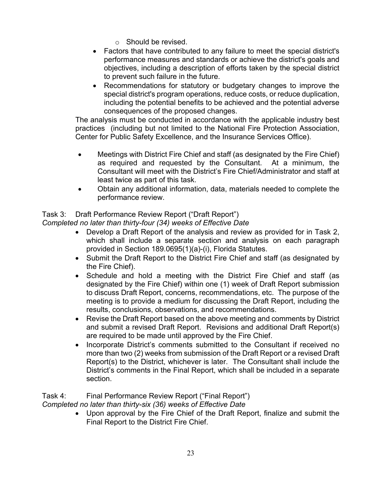- $\circ$  Should be revised.
- Factors that have contributed to any failure to meet the special district's performance measures and standards or achieve the district's goals and objectives, including a description of efforts taken by the special district to prevent such failure in the future.
- Recommendations for statutory or budgetary changes to improve the special district's program operations, reduce costs, or reduce duplication, including the potential benefits to be achieved and the potential adverse consequences of the proposed changes.

The analysis must be conducted in accordance with the applicable industry best practices (including but not limited to the National Fire Protection Association, Center for Public Safety Excellence, and the Insurance Services Office).

- Meetings with District Fire Chief and staff (as designated by the Fire Chief) as required and requested by the Consultant. At a minimum, the Consultant will meet with the District's Fire Chief/Administrator and staff at least twice as part of this task.
- Obtain any additional information, data, materials needed to complete the performance review.

# Task 3: Draft Performance Review Report ("Draft Report")

*Completed no later than thirty-four (34) weeks of Effective Date* 

- Develop a Draft Report of the analysis and review as provided for in Task 2, which shall include a separate section and analysis on each paragraph provided in Section 189.0695(1)(a)-(i), Florida Statutes.
- Submit the Draft Report to the District Fire Chief and staff (as designated by the Fire Chief).
- Schedule and hold a meeting with the District Fire Chief and staff (as designated by the Fire Chief) within one (1) week of Draft Report submission to discuss Draft Report, concerns, recommendations, etc. The purpose of the meeting is to provide a medium for discussing the Draft Report, including the results, conclusions, observations, and recommendations.
- Revise the Draft Report based on the above meeting and comments by District and submit a revised Draft Report. Revisions and additional Draft Report(s) are required to be made until approved by the Fire Chief.
- Incorporate District's comments submitted to the Consultant if received no more than two (2) weeks from submission of the Draft Report or a revised Draft Report(s) to the District, whichever is later. The Consultant shall include the District's comments in the Final Report, which shall be included in a separate section.

Task 4: Final Performance Review Report ("Final Report") *Completed no later than thirty-six (36) weeks of Effective Date* 

> Upon approval by the Fire Chief of the Draft Report, finalize and submit the Final Report to the District Fire Chief.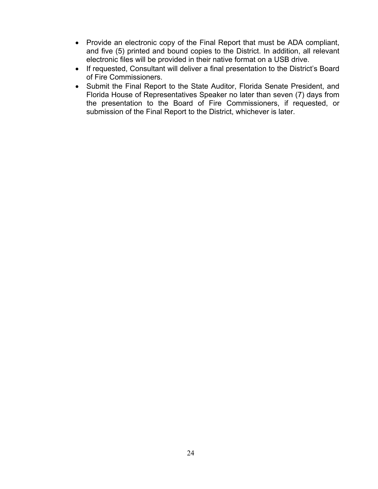- Provide an electronic copy of the Final Report that must be ADA compliant, and five (5) printed and bound copies to the District. In addition, all relevant electronic files will be provided in their native format on a USB drive.
- If requested, Consultant will deliver a final presentation to the District's Board of Fire Commissioners.
- Submit the Final Report to the State Auditor, Florida Senate President, and Florida House of Representatives Speaker no later than seven (7) days from the presentation to the Board of Fire Commissioners, if requested, or submission of the Final Report to the District, whichever is later.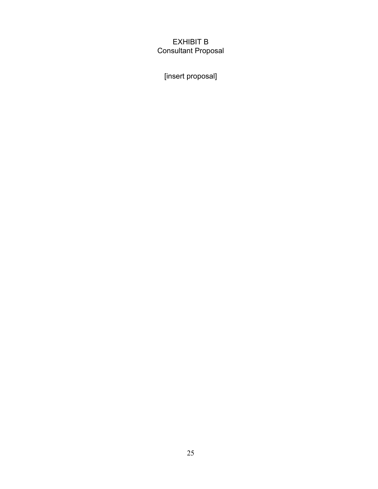# EXHIBIT B Consultant Proposal

[insert proposal]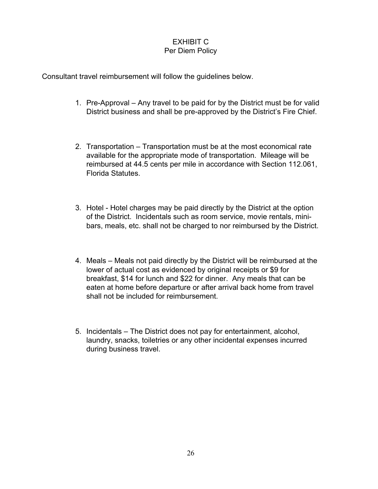# EXHIBIT C Per Diem Policy

Consultant travel reimbursement will follow the guidelines below.

- 1. Pre-Approval Any travel to be paid for by the District must be for valid District business and shall be pre-approved by the District's Fire Chief.
- 2. Transportation Transportation must be at the most economical rate available for the appropriate mode of transportation. Mileage will be reimbursed at 44.5 cents per mile in accordance with Section 112.061, Florida Statutes.
- 3. Hotel Hotel charges may be paid directly by the District at the option of the District. Incidentals such as room service, movie rentals, minibars, meals, etc. shall not be charged to nor reimbursed by the District.
- 4. Meals Meals not paid directly by the District will be reimbursed at the lower of actual cost as evidenced by original receipts or \$9 for breakfast, \$14 for lunch and \$22 for dinner. Any meals that can be eaten at home before departure or after arrival back home from travel shall not be included for reimbursement.
- 5. Incidentals The District does not pay for entertainment, alcohol, laundry, snacks, toiletries or any other incidental expenses incurred during business travel.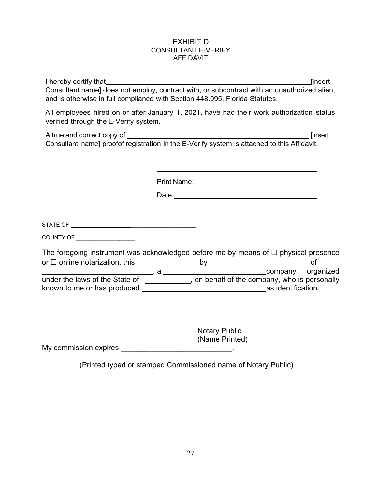#### EXHIBIT D CONSULTANT E-VERIFY **AFFIDAVIT**

|                                                                                                                                                                                                                                      | I hereby certify that <b>the contract of the contract of the contract of the contract of the contract of the contract of the contract of the contract of the contract of the contract of the contract of the contract of the con</b> | <b>[insert</b> |
|--------------------------------------------------------------------------------------------------------------------------------------------------------------------------------------------------------------------------------------|--------------------------------------------------------------------------------------------------------------------------------------------------------------------------------------------------------------------------------------|----------------|
|                                                                                                                                                                                                                                      | Consultant name] does not employ, contract with, or subcontract with an unauthorized alien,<br>and is otherwise in full compliance with Section 448.095, Florida Statutes.                                                           |                |
| verified through the E-Verify system.                                                                                                                                                                                                | All employees hired on or after January 1, 2021, have had their work authorization status                                                                                                                                            |                |
|                                                                                                                                                                                                                                      | Consultant name] proofof registration in the E-Verify system is attached to this Affidavit.                                                                                                                                          |                |
|                                                                                                                                                                                                                                      |                                                                                                                                                                                                                                      |                |
|                                                                                                                                                                                                                                      |                                                                                                                                                                                                                                      |                |
|                                                                                                                                                                                                                                      |                                                                                                                                                                                                                                      |                |
| <b>COUNTY OF THE COUNTY OF THE COUNTY OF THE COUNTY OF THE COUNTY OF THE COUNTY OF THE COUNTY OF THE COUNTY OF THE COUNTY OF THE COUNTY OF THE COUNTY OF THE COUNTY OF THE COUNTY OF THE COUNTY OF THE COUNTY OF THE COUNTY OF T</b> |                                                                                                                                                                                                                                      |                |
|                                                                                                                                                                                                                                      | The foregoing instrument was acknowledged before me by means of $\Box$ physical presence                                                                                                                                             |                |
|                                                                                                                                                                                                                                      |                                                                                                                                                                                                                                      |                |
|                                                                                                                                                                                                                                      | under the laws of the State of ___________, on behalf of the company, who is personally                                                                                                                                              |                |
|                                                                                                                                                                                                                                      |                                                                                                                                                                                                                                      |                |
|                                                                                                                                                                                                                                      | <b>Notary Public</b><br>(Name Printed)____________________________                                                                                                                                                                   |                |
|                                                                                                                                                                                                                                      |                                                                                                                                                                                                                                      |                |

(Printed typed or stamped Commissioned name of Notary Public)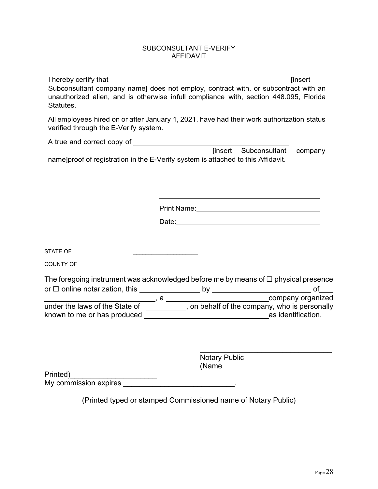#### SUBCONSULTANT E-VERIFY AFFIDAVIT

| Statutes.                             | Subconsultant company name] does not employ, contract with, or subcontract with an<br>unauthorized alien, and is otherwise infull compliance with, section 448.095, Florida                                                         |
|---------------------------------------|-------------------------------------------------------------------------------------------------------------------------------------------------------------------------------------------------------------------------------------|
| verified through the E-Verify system. | All employees hired on or after January 1, 2021, have had their work authorization status                                                                                                                                           |
|                                       |                                                                                                                                                                                                                                     |
|                                       |                                                                                                                                                                                                                                     |
|                                       | name]proof of registration in the E-Verify system is attached to this Affidavit.                                                                                                                                                    |
|                                       |                                                                                                                                                                                                                                     |
|                                       |                                                                                                                                                                                                                                     |
|                                       |                                                                                                                                                                                                                                     |
|                                       |                                                                                                                                                                                                                                     |
|                                       |                                                                                                                                                                                                                                     |
|                                       | Date: <u>Date:</u> 2004 Contract 2006 Contract 2006 Contract 2006 Contract 2006 Contract 2006 Contract 2006 Contract 2006 Contract 2006 Contract 2006 Contract 2006 Contract 2006 Contract 2006 Contract 2006 Contract 2006 Contrac |
|                                       |                                                                                                                                                                                                                                     |
|                                       |                                                                                                                                                                                                                                     |
|                                       |                                                                                                                                                                                                                                     |
| COUNTY OF ___________________         |                                                                                                                                                                                                                                     |
|                                       | The foregoing instrument was acknowledged before me by means of $\Box$ physical presence                                                                                                                                            |
|                                       |                                                                                                                                                                                                                                     |
|                                       |                                                                                                                                                                                                                                     |
|                                       |                                                                                                                                                                                                                                     |
|                                       |                                                                                                                                                                                                                                     |
|                                       |                                                                                                                                                                                                                                     |
|                                       |                                                                                                                                                                                                                                     |
|                                       |                                                                                                                                                                                                                                     |
|                                       | <b>Notary Public</b>                                                                                                                                                                                                                |

 (Name Printed)\_\_\_\_\_\_\_\_\_\_\_\_\_\_\_\_\_\_\_\_\_ My commission expires \_\_\_\_\_\_\_\_\_\_\_\_\_\_\_\_\_\_\_\_\_\_\_\_\_\_\_\_\_\_\_\_\_.

(Printed typed or stamped Commissioned name of Notary Public)